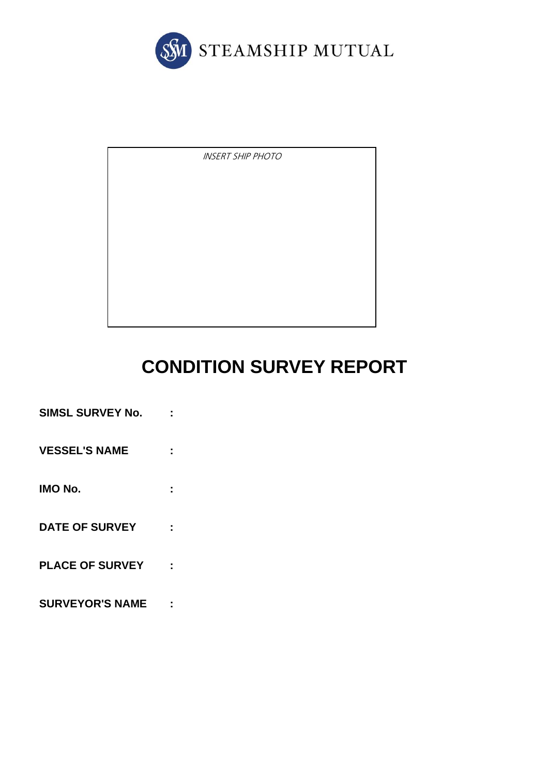

INSERT SHIP PHOTO

# **CONDITION SURVEY REPORT**

- **SIMSL SURVEY No. : VESSEL'S NAME : IMO No. : DATE OF SURVEY : PLACE OF SURVEY :**
- **SURVEYOR'S NAME :**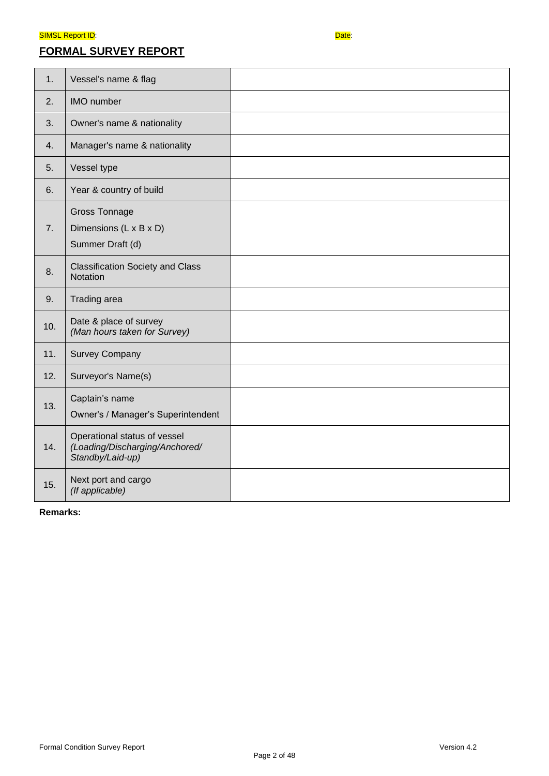## **FORMAL SURVEY REPORT**



| 1.  | Vessel's name & flag                                                               |  |
|-----|------------------------------------------------------------------------------------|--|
| 2.  | <b>IMO</b> number                                                                  |  |
| 3.  | Owner's name & nationality                                                         |  |
| 4.  | Manager's name & nationality                                                       |  |
| 5.  | Vessel type                                                                        |  |
| 6.  | Year & country of build                                                            |  |
| 7.  | <b>Gross Tonnage</b><br>Dimensions (L x B x D)<br>Summer Draft (d)                 |  |
| 8.  | <b>Classification Society and Class</b><br>Notation                                |  |
| 9.  | Trading area                                                                       |  |
| 10. | Date & place of survey<br>(Man hours taken for Survey)                             |  |
| 11. | <b>Survey Company</b>                                                              |  |
| 12. | Surveyor's Name(s)                                                                 |  |
| 13. | Captain's name<br>Owner's / Manager's Superintendent                               |  |
| 14. | Operational status of vessel<br>(Loading/Discharging/Anchored/<br>Standby/Laid-up) |  |
| 15. | Next port and cargo<br>(If applicable)                                             |  |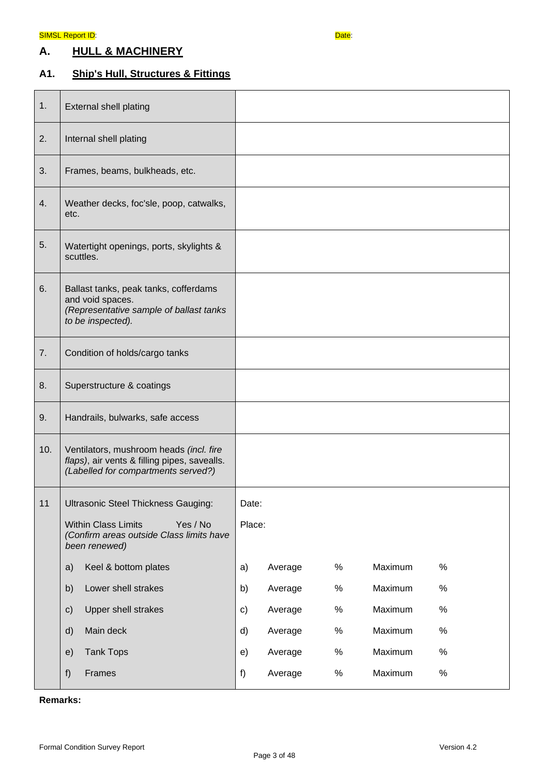## **A. HULL & MACHINERY**

## **A1. Ship's Hull, Structures & Fittings**

| 1.  | <b>External shell plating</b>                                                                                                  |               |         |      |         |      |
|-----|--------------------------------------------------------------------------------------------------------------------------------|---------------|---------|------|---------|------|
| 2.  | Internal shell plating                                                                                                         |               |         |      |         |      |
| 3.  | Frames, beams, bulkheads, etc.                                                                                                 |               |         |      |         |      |
| 4.  | Weather decks, foc'sle, poop, catwalks,<br>etc.                                                                                |               |         |      |         |      |
| 5.  | Watertight openings, ports, skylights &<br>scuttles.                                                                           |               |         |      |         |      |
| 6.  | Ballast tanks, peak tanks, cofferdams<br>and void spaces.<br>(Representative sample of ballast tanks<br>to be inspected).      |               |         |      |         |      |
| 7.  | Condition of holds/cargo tanks                                                                                                 |               |         |      |         |      |
| 8.  | Superstructure & coatings                                                                                                      |               |         |      |         |      |
| 9.  | Handrails, bulwarks, safe access                                                                                               |               |         |      |         |      |
| 10. | Ventilators, mushroom heads (incl. fire<br>flaps), air vents & filling pipes, savealls.<br>(Labelled for compartments served?) |               |         |      |         |      |
| 11  | <b>Ultrasonic Steel Thickness Gauging:</b>                                                                                     | Date:         |         |      |         |      |
|     | <b>Within Class Limits</b><br>Yes / No<br>(Confirm areas outside Class limits have<br>been renewed)                            |               | Place:  |      |         |      |
|     | Keel & bottom plates<br>a)                                                                                                     | a)            | Average | $\%$ | Maximum | $\%$ |
|     | Lower shell strakes<br>b)                                                                                                      | b)            | Average | $\%$ | Maximum | $\%$ |
|     | Upper shell strakes<br>$\mathsf{c})$                                                                                           | $\mathsf{c})$ | Average | $\%$ | Maximum | $\%$ |
|     | Main deck<br>$\mathsf{d}$                                                                                                      | d)            | Average | $\%$ | Maximum | $\%$ |
|     | <b>Tank Tops</b><br>e)                                                                                                         | e)            | Average | $\%$ | Maximum | $\%$ |
|     | f)<br>Frames                                                                                                                   | f)            | Average | $\%$ | Maximum | $\%$ |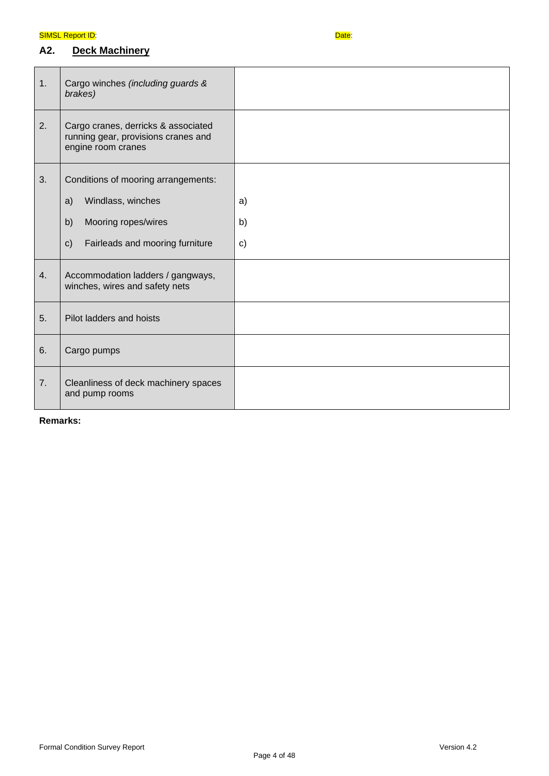## **A2. Deck Machinery**



| 1. | Cargo winches (including guards &<br>brakes)                                                                                                    |                          |
|----|-------------------------------------------------------------------------------------------------------------------------------------------------|--------------------------|
| 2. | Cargo cranes, derricks & associated<br>running gear, provisions cranes and<br>engine room cranes                                                |                          |
| 3. | Conditions of mooring arrangements:<br>Windlass, winches<br>a)<br>Mooring ropes/wires<br>b)<br>Fairleads and mooring furniture<br>$\mathsf{c})$ | a)<br>b)<br>$\mathbf{c}$ |
| 4. | Accommodation ladders / gangways,<br>winches, wires and safety nets                                                                             |                          |
| 5. | Pilot ladders and hoists                                                                                                                        |                          |
| 6. | Cargo pumps                                                                                                                                     |                          |
| 7. | Cleanliness of deck machinery spaces<br>and pump rooms                                                                                          |                          |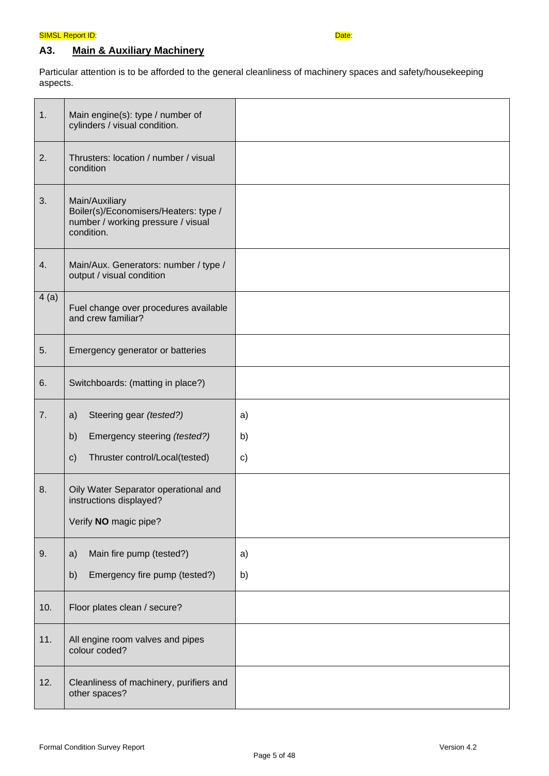## **A3. Main & Auxiliary Machinery**

Particular attention is to be afforded to the general cleanliness of machinery spaces and safety/housekeeping aspects.

| 1.   | Main engine(s): type / number of<br>cylinders / visual condition.                                                       |                |
|------|-------------------------------------------------------------------------------------------------------------------------|----------------|
| 2.   | Thrusters: location / number / visual<br>condition                                                                      |                |
| 3.   | Main/Auxiliary<br>Boiler(s)/Economisers/Heaters: type /<br>number / working pressure / visual<br>condition.             |                |
| 4.   | Main/Aux. Generators: number / type /<br>output / visual condition                                                      |                |
| 4(a) | Fuel change over procedures available<br>and crew familiar?                                                             |                |
| 5.   | Emergency generator or batteries                                                                                        |                |
| 6.   | Switchboards: (matting in place?)                                                                                       |                |
| 7.   | Steering gear (tested?)<br>a)<br>Emergency steering (tested?)<br>b)<br>Thruster control/Local(tested)<br>$\mathsf{c}$ ) | a)<br>b)<br>c) |
| 8.   | Oily Water Separator operational and<br>instructions displayed?<br>Verify NO magic pipe?                                |                |
| 9.   | Main fire pump (tested?)<br>a)<br>b)<br>Emergency fire pump (tested?)                                                   | a)<br>b)       |
| 10.  | Floor plates clean / secure?                                                                                            |                |
| 11.  | All engine room valves and pipes<br>colour coded?                                                                       |                |
| 12.  | Cleanliness of machinery, purifiers and<br>other spaces?                                                                |                |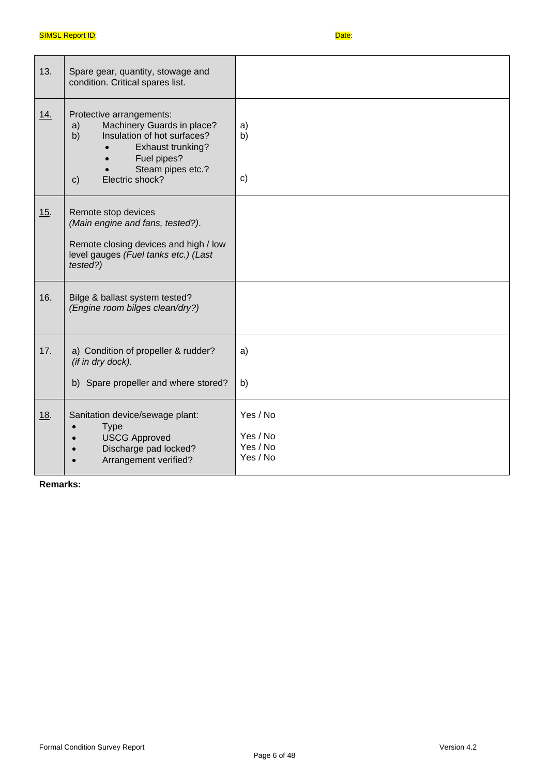| 13. | Spare gear, quantity, stowage and<br>condition. Critical spares list.                                                                                                                         |                                              |
|-----|-----------------------------------------------------------------------------------------------------------------------------------------------------------------------------------------------|----------------------------------------------|
| 14. | Protective arrangements:<br>Machinery Guards in place?<br>a)<br>Insulation of hot surfaces?<br>b)<br>Exhaust trunking?<br>Fuel pipes?<br>Steam pipes etc.?<br>Electric shock?<br>$\mathsf{C}$ | a)<br>b)<br>$\mathsf{c})$                    |
| 15. | Remote stop devices<br>(Main engine and fans, tested?).<br>Remote closing devices and high / low<br>level gauges (Fuel tanks etc.) (Last<br>tested?)                                          |                                              |
| 16. | Bilge & ballast system tested?<br>(Engine room bilges clean/dry?)                                                                                                                             |                                              |
| 17. | a) Condition of propeller & rudder?<br>(if in dry dock).<br>b) Spare propeller and where stored?                                                                                              | a)<br>b)                                     |
| 18. | Sanitation device/sewage plant:<br><b>Type</b><br><b>USCG Approved</b><br>Discharge pad locked?<br>Arrangement verified?                                                                      | Yes / No<br>Yes / No<br>Yes / No<br>Yes / No |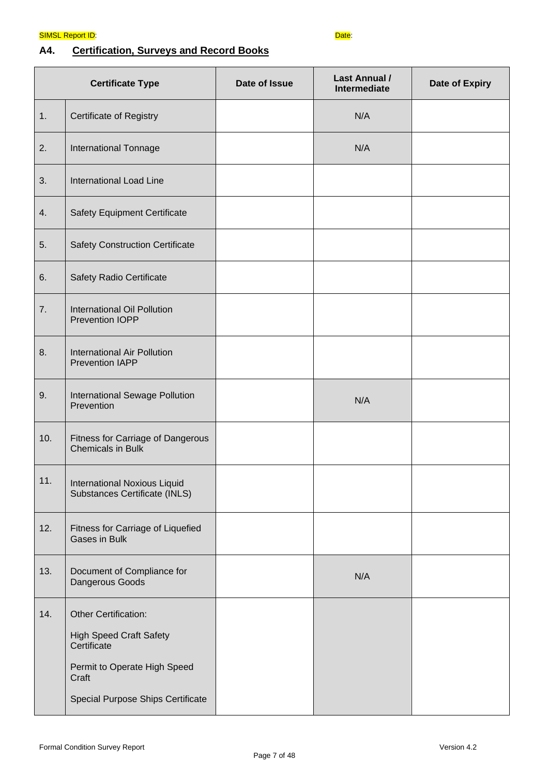## **A4. Certification, Surveys and Record Books**

|     | <b>Certificate Type</b>                                              | Date of Issue | <b>Last Annual /</b><br><b>Intermediate</b> | <b>Date of Expiry</b> |
|-----|----------------------------------------------------------------------|---------------|---------------------------------------------|-----------------------|
| 1.  | <b>Certificate of Registry</b>                                       |               | N/A                                         |                       |
| 2.  | <b>International Tonnage</b>                                         |               | N/A                                         |                       |
| 3.  | <b>International Load Line</b>                                       |               |                                             |                       |
| 4.  | <b>Safety Equipment Certificate</b>                                  |               |                                             |                       |
| 5.  | <b>Safety Construction Certificate</b>                               |               |                                             |                       |
| 6.  | Safety Radio Certificate                                             |               |                                             |                       |
| 7.  | International Oil Pollution<br>Prevention IOPP                       |               |                                             |                       |
| 8.  | International Air Pollution<br><b>Prevention IAPP</b>                |               |                                             |                       |
| 9.  | International Sewage Pollution<br>Prevention                         |               | N/A                                         |                       |
| 10. | Fitness for Carriage of Dangerous<br><b>Chemicals in Bulk</b>        |               |                                             |                       |
| 11. | <b>International Noxious Liquid</b><br>Substances Certificate (INLS) |               |                                             |                       |
| 12. | Fitness for Carriage of Liquefied<br>Gases in Bulk                   |               |                                             |                       |
| 13. | Document of Compliance for<br>Dangerous Goods                        |               | N/A                                         |                       |
| 14. | Other Certification:                                                 |               |                                             |                       |
|     | <b>High Speed Craft Safety</b><br>Certificate                        |               |                                             |                       |
|     | Permit to Operate High Speed<br>Craft                                |               |                                             |                       |
|     | Special Purpose Ships Certificate                                    |               |                                             |                       |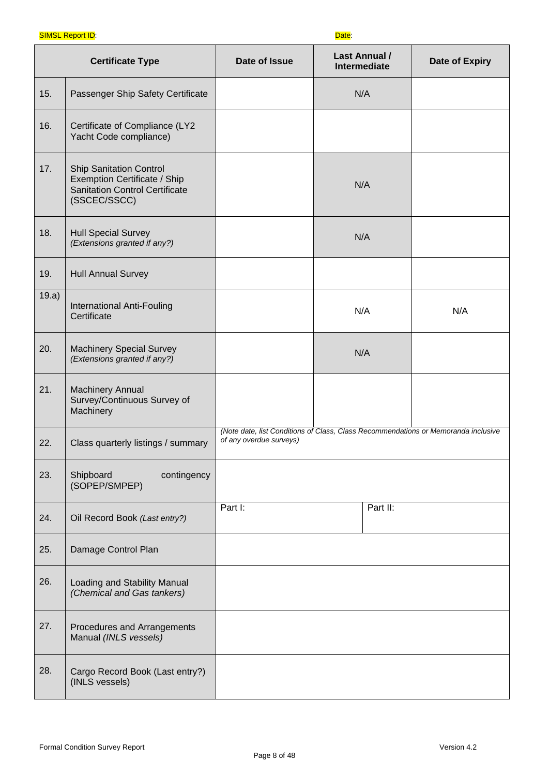#### **SIMSL Report ID:**  $\overline{Date}$ :

|       | <b>Certificate Type</b>                                                                                                 | Date of Issue                                                                                                 | <b>Last Annual /</b><br><b>Intermediate</b> | <b>Date of Expiry</b> |
|-------|-------------------------------------------------------------------------------------------------------------------------|---------------------------------------------------------------------------------------------------------------|---------------------------------------------|-----------------------|
| 15.   | Passenger Ship Safety Certificate                                                                                       |                                                                                                               | N/A                                         |                       |
| 16.   | Certificate of Compliance (LY2<br>Yacht Code compliance)                                                                |                                                                                                               |                                             |                       |
| 17.   | <b>Ship Sanitation Control</b><br>Exemption Certificate / Ship<br><b>Sanitation Control Certificate</b><br>(SSCEC/SSCC) |                                                                                                               | N/A                                         |                       |
| 18.   | <b>Hull Special Survey</b><br>(Extensions granted if any?)                                                              |                                                                                                               | N/A                                         |                       |
| 19.   | <b>Hull Annual Survey</b>                                                                                               |                                                                                                               |                                             |                       |
| 19.a) | International Anti-Fouling<br>Certificate                                                                               |                                                                                                               | N/A                                         | N/A                   |
| 20.   | <b>Machinery Special Survey</b><br>(Extensions granted if any?)                                                         |                                                                                                               | N/A                                         |                       |
| 21.   | <b>Machinery Annual</b><br>Survey/Continuous Survey of<br>Machinery                                                     |                                                                                                               |                                             |                       |
| 22.   | Class quarterly listings / summary                                                                                      | (Note date, list Conditions of Class, Class Recommendations or Memoranda inclusive<br>of any overdue surveys) |                                             |                       |
| 23.   | Shipboard<br>contingency<br>(SOPEP/SMPEP)                                                                               |                                                                                                               |                                             |                       |
| 24.   | Oil Record Book (Last entry?)                                                                                           | Part I:                                                                                                       | Part II:                                    |                       |
| 25.   | Damage Control Plan                                                                                                     |                                                                                                               |                                             |                       |
| 26.   | Loading and Stability Manual<br>(Chemical and Gas tankers)                                                              |                                                                                                               |                                             |                       |
| 27.   | Procedures and Arrangements<br>Manual (INLS vessels)                                                                    |                                                                                                               |                                             |                       |
| 28.   | Cargo Record Book (Last entry?)<br>(INLS vessels)                                                                       |                                                                                                               |                                             |                       |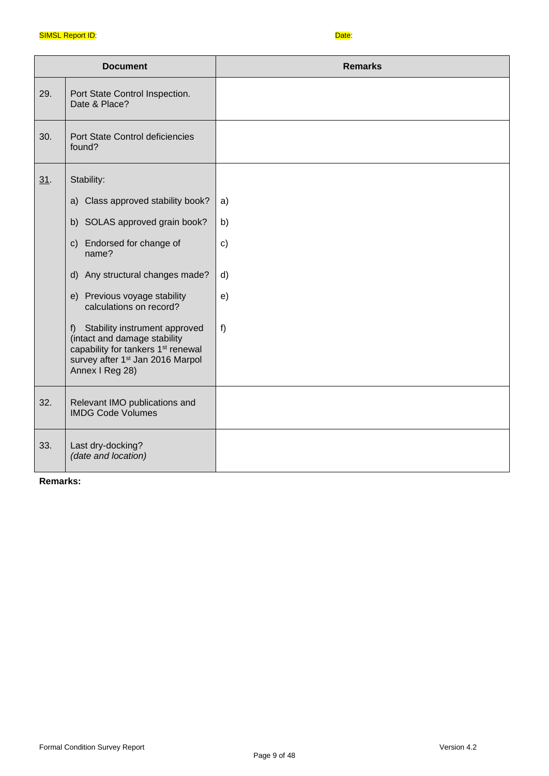|     | <b>Document</b>                                                                                                                                                                       | <b>Remarks</b> |
|-----|---------------------------------------------------------------------------------------------------------------------------------------------------------------------------------------|----------------|
| 29. | Port State Control Inspection.<br>Date & Place?                                                                                                                                       |                |
| 30. | Port State Control deficiencies<br>found?                                                                                                                                             |                |
| 31. | Stability:                                                                                                                                                                            |                |
|     | a) Class approved stability book?                                                                                                                                                     | a)             |
|     | b) SOLAS approved grain book?                                                                                                                                                         | b)             |
|     | c) Endorsed for change of<br>name?                                                                                                                                                    | c)             |
|     | d) Any structural changes made?                                                                                                                                                       | d)             |
|     | e) Previous voyage stability<br>calculations on record?                                                                                                                               | e)             |
|     | f) Stability instrument approved<br>(intact and damage stability<br>capability for tankers 1 <sup>st</sup> renewal<br>survey after 1 <sup>st</sup> Jan 2016 Marpol<br>Annex I Reg 28) | $f$ )          |
| 32. | Relevant IMO publications and<br><b>IMDG Code Volumes</b>                                                                                                                             |                |
| 33. | Last dry-docking?<br>(date and location)                                                                                                                                              |                |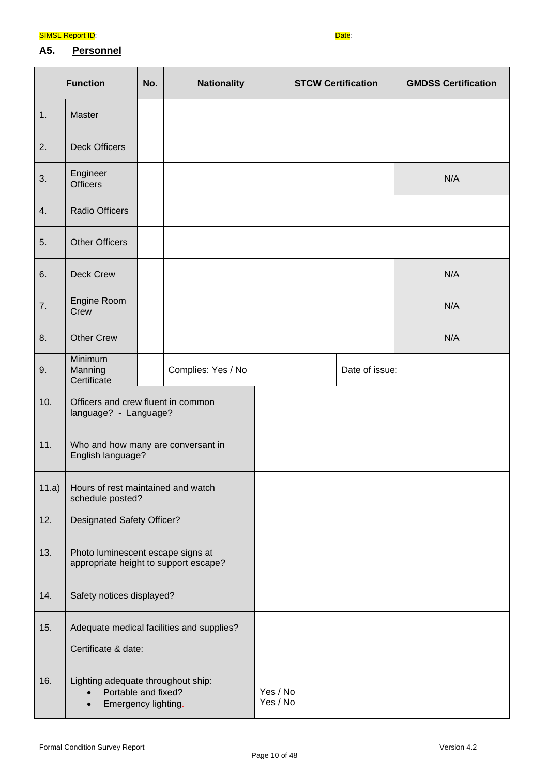

## **A5. Personnel**

|       | <b>Function</b>                                                                  | No.                                                                        | <b>Nationality</b>   |  | <b>STCW Certification</b> |                | <b>GMDSS Certification</b> |
|-------|----------------------------------------------------------------------------------|----------------------------------------------------------------------------|----------------------|--|---------------------------|----------------|----------------------------|
| 1.    | Master                                                                           |                                                                            |                      |  |                           |                |                            |
| 2.    | <b>Deck Officers</b>                                                             |                                                                            |                      |  |                           |                |                            |
| 3.    | Engineer<br><b>Officers</b>                                                      |                                                                            |                      |  |                           |                | N/A                        |
| 4.    | <b>Radio Officers</b>                                                            |                                                                            |                      |  |                           |                |                            |
| 5.    | <b>Other Officers</b>                                                            |                                                                            |                      |  |                           |                |                            |
| 6.    | <b>Deck Crew</b>                                                                 |                                                                            |                      |  |                           |                | N/A                        |
| 7.    | Engine Room<br>Crew                                                              |                                                                            |                      |  |                           |                | N/A                        |
| 8.    | <b>Other Crew</b>                                                                |                                                                            |                      |  |                           |                | N/A                        |
| 9.    | Minimum<br>Manning<br>Certificate                                                |                                                                            | Complies: Yes / No   |  |                           | Date of issue: |                            |
| 10.   | Officers and crew fluent in common<br>language? - Language?                      |                                                                            |                      |  |                           |                |                            |
| 11.   | Who and how many are conversant in<br>English language?                          |                                                                            |                      |  |                           |                |                            |
| 11.a) | schedule posted?                                                                 | Hours of rest maintained and watch                                         |                      |  |                           |                |                            |
| 12.   | <b>Designated Safety Officer?</b>                                                |                                                                            |                      |  |                           |                |                            |
| 13.   |                                                                                  | Photo luminescent escape signs at<br>appropriate height to support escape? |                      |  |                           |                |                            |
| 14.   |                                                                                  | Safety notices displayed?                                                  |                      |  |                           |                |                            |
| 15.   | Adequate medical facilities and supplies?<br>Certificate & date:                 |                                                                            |                      |  |                           |                |                            |
| 16.   | Lighting adequate throughout ship:<br>Portable and fixed?<br>Emergency lighting. |                                                                            | Yes / No<br>Yes / No |  |                           |                |                            |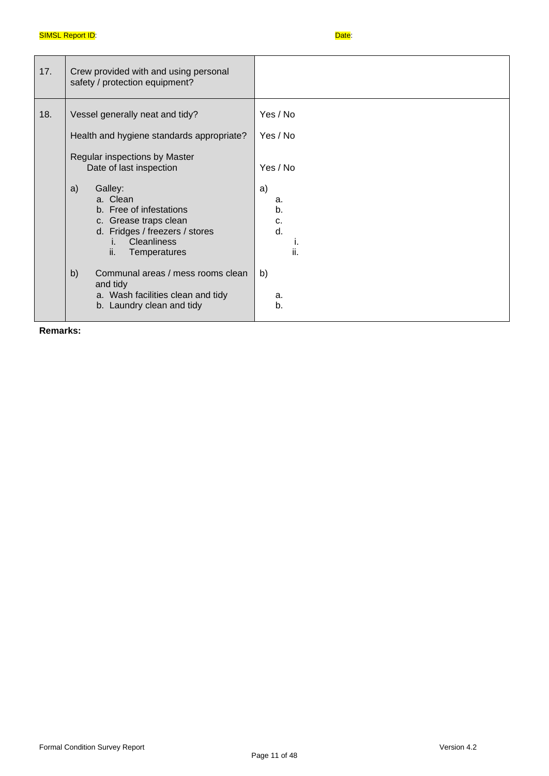| 17. | Crew provided with and using personal<br>safety / protection equipment?                                                                                            |                                   |
|-----|--------------------------------------------------------------------------------------------------------------------------------------------------------------------|-----------------------------------|
| 18. | Vessel generally neat and tidy?<br>Health and hygiene standards appropriate?<br>Regular inspections by Master<br>Date of last inspection                           | Yes / No<br>Yes / No<br>Yes / No  |
|     | a)<br>Galley:<br>a. Clean<br>b. Free of infestations<br>c. Grease traps clean<br>d. Fridges / freezers / stores<br><b>Cleanliness</b><br>i.<br>ii.<br>Temperatures | a)<br>a.<br>b.<br>c.<br>d.<br>ii. |
|     | b)<br>Communal areas / mess rooms clean<br>and tidy<br>a. Wash facilities clean and tidy<br>b. Laundry clean and tidy                                              | b)<br>a.<br>b.                    |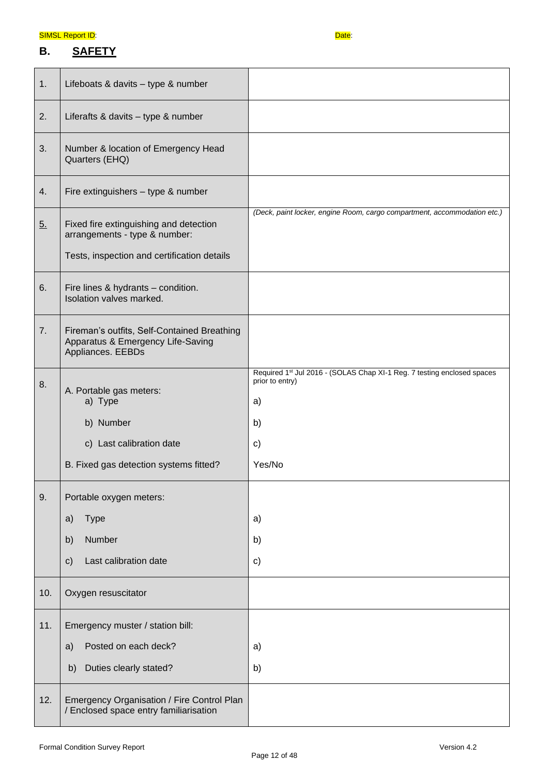## **B. SAFETY**

| 1.                | Lifeboats & davits - type & number                                                                                     |                                                                                                        |
|-------------------|------------------------------------------------------------------------------------------------------------------------|--------------------------------------------------------------------------------------------------------|
| 2.                | Liferafts & davits - type & number                                                                                     |                                                                                                        |
| 3.                | Number & location of Emergency Head<br>Quarters (EHQ)                                                                  |                                                                                                        |
| 4.                | Fire extinguishers - type & number                                                                                     |                                                                                                        |
| $\underline{5}$ . | Fixed fire extinguishing and detection<br>arrangements - type & number:<br>Tests, inspection and certification details | (Deck, paint locker, engine Room, cargo compartment, accommodation etc.)                               |
| 6.                | Fire lines & hydrants - condition.<br>Isolation valves marked.                                                         |                                                                                                        |
| 7.                | Fireman's outfits, Self-Contained Breathing<br>Apparatus & Emergency Life-Saving<br>Appliances. EEBDs                  |                                                                                                        |
| 8.                | A. Portable gas meters:<br>a) Type<br>b) Number                                                                        | Required 1st Jul 2016 - (SOLAS Chap XI-1 Reg. 7 testing enclosed spaces<br>prior to entry)<br>a)<br>b) |
|                   | c) Last calibration date                                                                                               | c)                                                                                                     |
|                   | B. Fixed gas detection systems fitted?                                                                                 | Yes/No                                                                                                 |
| 9.                | Portable oxygen meters:                                                                                                |                                                                                                        |
|                   | <b>Type</b><br>a)                                                                                                      | a)                                                                                                     |
|                   | Number<br>b)                                                                                                           | b)                                                                                                     |
|                   | Last calibration date<br>$\mathsf{c})$                                                                                 | c)                                                                                                     |
| 10.               | Oxygen resuscitator                                                                                                    |                                                                                                        |
| 11.               | Emergency muster / station bill:                                                                                       |                                                                                                        |
|                   | Posted on each deck?<br>a)                                                                                             | a)                                                                                                     |
|                   | Duties clearly stated?<br>b)                                                                                           | b)                                                                                                     |
| 12.               | Emergency Organisation / Fire Control Plan<br>/ Enclosed space entry familiarisation                                   |                                                                                                        |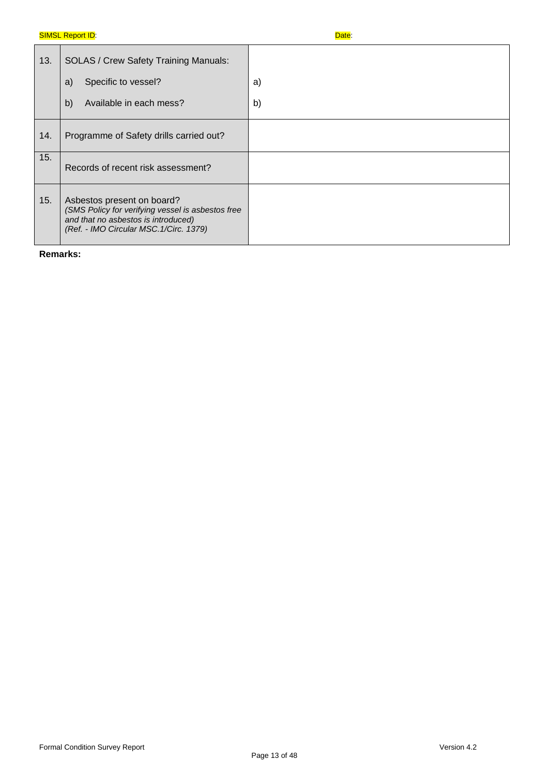| 13. | <b>SOLAS / Crew Safety Training Manuals:</b>                                                                                                                      |    |
|-----|-------------------------------------------------------------------------------------------------------------------------------------------------------------------|----|
|     | Specific to vessel?<br>a)                                                                                                                                         | a) |
|     | Available in each mess?<br>b)                                                                                                                                     | b) |
| 14. | Programme of Safety drills carried out?                                                                                                                           |    |
| 15. | Records of recent risk assessment?                                                                                                                                |    |
| 15. | Asbestos present on board?<br>(SMS Policy for verifying vessel is asbestos free<br>and that no asbestos is introduced)<br>(Ref. - IMO Circular MSC. 1/Circ. 1379) |    |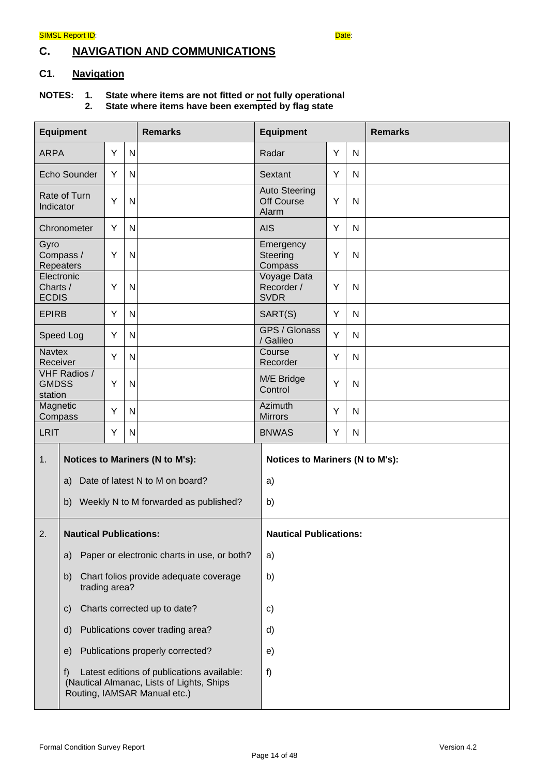## **C. NAVIGATION AND COMMUNICATIONS**

## **C1. Navigation**

#### **NOTES: 1. State where items are not fitted or not fully operational 2. State where items have been exempted by flag state**

| <b>Equipment</b><br><b>Remarks</b>           |                                                   |   |                                 | <b>Equipment</b>                                                                                                        | <b>Remarks</b>                              |   |   |  |
|----------------------------------------------|---------------------------------------------------|---|---------------------------------|-------------------------------------------------------------------------------------------------------------------------|---------------------------------------------|---|---|--|
| <b>ARPA</b>                                  |                                                   | Y | N                               |                                                                                                                         | Radar                                       | Y | N |  |
|                                              | Echo Sounder                                      | Y | N                               |                                                                                                                         | Sextant                                     | Y | N |  |
| Indicator                                    | Rate of Turn                                      | Y | N                               |                                                                                                                         | <b>Auto Steering</b><br>Off Course<br>Alarm | Y | N |  |
|                                              | Chronometer                                       | Y | N                               |                                                                                                                         | <b>AIS</b>                                  | Y | N |  |
| Gyro                                         | Compass /<br>Repeaters                            | Υ | N                               |                                                                                                                         | Emergency<br>Steering<br>Compass            | Υ | N |  |
| Charts /<br><b>ECDIS</b>                     | Electronic                                        | Y | N                               |                                                                                                                         | Voyage Data<br>Recorder /<br><b>SVDR</b>    | Y | N |  |
| <b>EPIRB</b>                                 |                                                   | Y | N                               |                                                                                                                         | SART(S)                                     | Y | N |  |
|                                              | Speed Log                                         | Υ | N                               |                                                                                                                         | GPS / Glonass<br>/ Galileo                  | Y | N |  |
| <b>Navtex</b><br>Receiver                    |                                                   | Υ | N                               |                                                                                                                         | Course<br>Recorder                          | Y | N |  |
| <b>GMDSS</b><br>station                      | <b>VHF Radios /</b>                               | Y | N                               |                                                                                                                         | M/E Bridge<br>Control                       | Y | N |  |
| Magnetic<br>Compass                          |                                                   | Υ | N                               |                                                                                                                         | Azimuth<br><b>Mirrors</b>                   | Υ | N |  |
| <b>LRIT</b>                                  |                                                   | Υ | N                               |                                                                                                                         | <b>BNWAS</b>                                | Y | N |  |
| <b>Notices to Mariners (N to M's):</b><br>1. |                                                   |   | Notices to Mariners (N to M's): |                                                                                                                         |                                             |   |   |  |
|                                              | a)                                                |   |                                 | Date of latest N to M on board?                                                                                         | a)                                          |   |   |  |
|                                              | b)                                                |   |                                 | Weekly N to M forwarded as published?                                                                                   | b)                                          |   |   |  |
| 2.                                           | <b>Nautical Publications:</b>                     |   | <b>Nautical Publications:</b>   |                                                                                                                         |                                             |   |   |  |
|                                              | Paper or electronic charts in use, or both?<br>a) |   | a)                              |                                                                                                                         |                                             |   |   |  |
|                                              | b)<br>trading area?                               |   |                                 | Chart folios provide adequate coverage                                                                                  | b)                                          |   |   |  |
|                                              | Charts corrected up to date?<br>$\mathsf{c})$     |   | c)                              |                                                                                                                         |                                             |   |   |  |
|                                              | Publications cover trading area?<br>d)            |   | d)                              |                                                                                                                         |                                             |   |   |  |
|                                              | e)                                                |   |                                 | Publications properly corrected?                                                                                        | e)                                          |   |   |  |
|                                              | f)                                                |   |                                 | Latest editions of publications available:<br>(Nautical Almanac, Lists of Lights, Ships<br>Routing, IAMSAR Manual etc.) | f)                                          |   |   |  |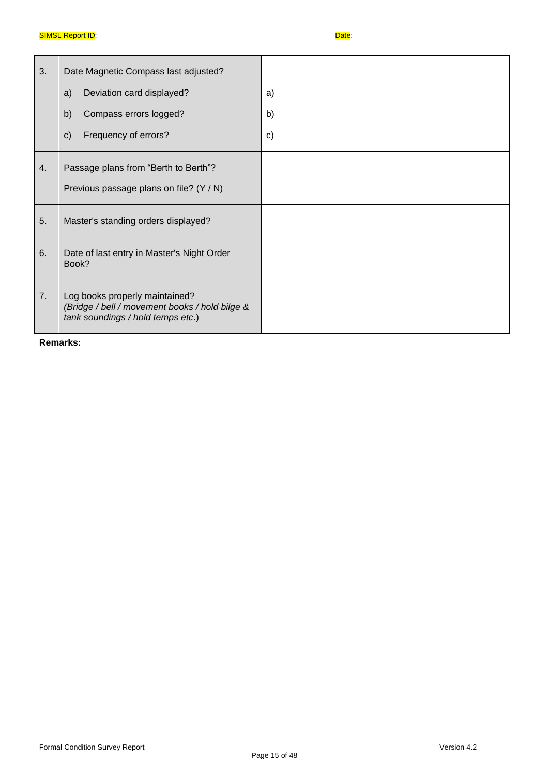| 3. | Date Magnetic Compass last adjusted?                                                                                  |              |
|----|-----------------------------------------------------------------------------------------------------------------------|--------------|
|    | Deviation card displayed?<br>a)                                                                                       | a)           |
|    | Compass errors logged?<br>b)                                                                                          | b)           |
|    | Frequency of errors?<br>$\mathbf{C}$                                                                                  | $\mathsf{c}$ |
| 4. | Passage plans from "Berth to Berth"?                                                                                  |              |
|    | Previous passage plans on file? (Y / N)                                                                               |              |
| 5. | Master's standing orders displayed?                                                                                   |              |
| 6. | Date of last entry in Master's Night Order<br>Book?                                                                   |              |
| 7. | Log books properly maintained?<br>(Bridge / bell / movement books / hold bilge &<br>tank soundings / hold temps etc.) |              |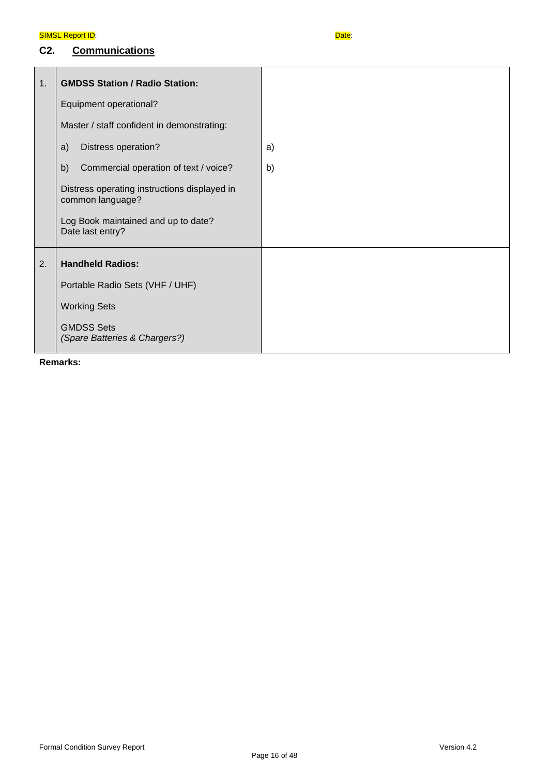## **C2. Communications**

| $\mathbf{1}$ . | <b>GMDSS Station / Radio Station:</b>                            |    |
|----------------|------------------------------------------------------------------|----|
|                | Equipment operational?                                           |    |
|                | Master / staff confident in demonstrating:                       |    |
|                | Distress operation?<br>a)                                        | a) |
|                | Commercial operation of text / voice?<br>b)                      | b) |
|                | Distress operating instructions displayed in<br>common language? |    |
|                | Log Book maintained and up to date?<br>Date last entry?          |    |
| 2.             | <b>Handheld Radios:</b>                                          |    |
|                | Portable Radio Sets (VHF / UHF)                                  |    |
|                | <b>Working Sets</b>                                              |    |
|                | <b>GMDSS Sets</b><br>(Spare Batteries & Chargers?)               |    |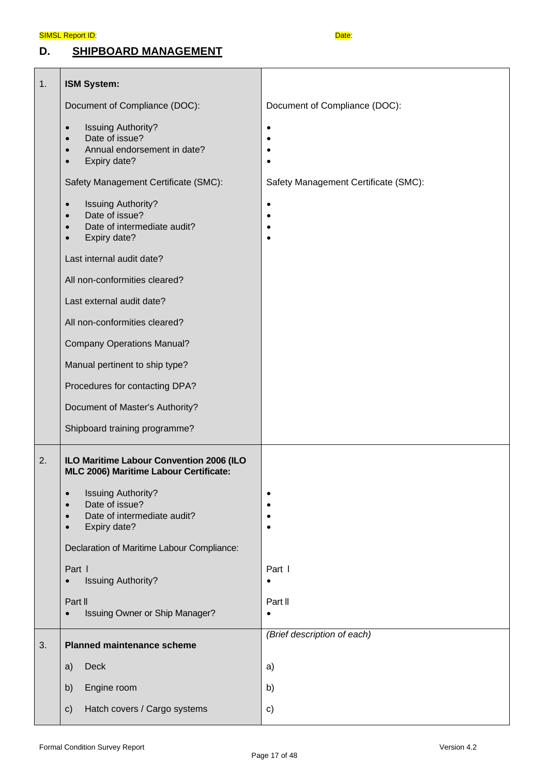**D. SHIPBOARD MANAGEMENT**



| 1. | ISM System:                                                                                                                                    |                                      |
|----|------------------------------------------------------------------------------------------------------------------------------------------------|--------------------------------------|
|    | Document of Compliance (DOC):                                                                                                                  | Document of Compliance (DOC):        |
|    | <b>Issuing Authority?</b><br>$\bullet$<br>Date of issue?<br>$\bullet$<br>Annual endorsement in date?<br>$\bullet$<br>Expiry date?              |                                      |
|    | Safety Management Certificate (SMC):                                                                                                           | Safety Management Certificate (SMC): |
|    | <b>Issuing Authority?</b><br>$\bullet$<br>Date of issue?<br>$\bullet$<br>Date of intermediate audit?<br>Expiry date?                           | ٠                                    |
|    | Last internal audit date?                                                                                                                      |                                      |
|    | All non-conformities cleared?                                                                                                                  |                                      |
|    | Last external audit date?                                                                                                                      |                                      |
|    | All non-conformities cleared?                                                                                                                  |                                      |
|    | <b>Company Operations Manual?</b>                                                                                                              |                                      |
|    | Manual pertinent to ship type?                                                                                                                 |                                      |
|    | Procedures for contacting DPA?                                                                                                                 |                                      |
|    | Document of Master's Authority?                                                                                                                |                                      |
|    | Shipboard training programme?                                                                                                                  |                                      |
| 2. | ILO Maritime Labour Convention 2006 (ILO<br>MLC 2006) Maritime Labour Certificate:                                                             |                                      |
|    | <b>Issuing Authority?</b><br>$\bullet$<br>Date of issue?<br>$\bullet$<br>Date of intermediate audit?<br>$\bullet$<br>Expiry date?<br>$\bullet$ |                                      |
|    | Declaration of Maritime Labour Compliance:                                                                                                     |                                      |
|    | Part I<br><b>Issuing Authority?</b>                                                                                                            | Part I<br>٠                          |
|    | Part II<br>Issuing Owner or Ship Manager?                                                                                                      | Part II                              |
| 3. | <b>Planned maintenance scheme</b>                                                                                                              | (Brief description of each)          |
|    | Deck<br>a)                                                                                                                                     | a)                                   |
|    | Engine room<br>b)                                                                                                                              | b)                                   |
|    | Hatch covers / Cargo systems<br>$\mathsf{c})$                                                                                                  | c)                                   |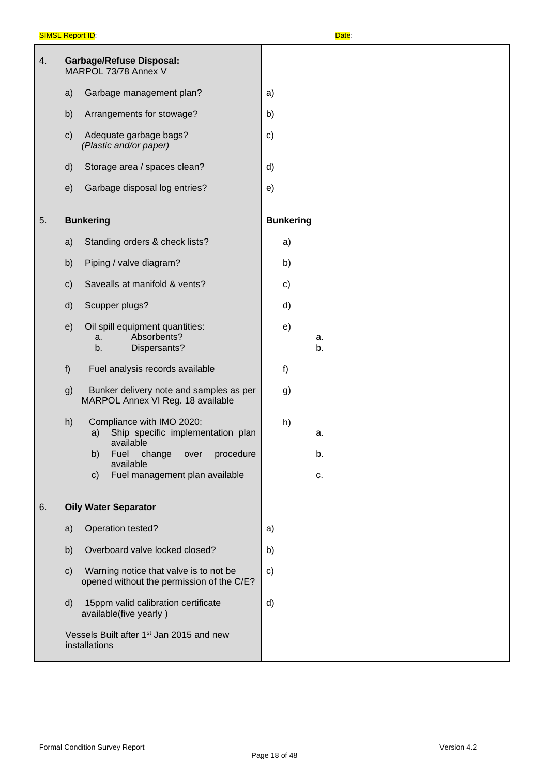| 4. | <b>Garbage/Refuse Disposal:</b><br>MARPOL 73/78 Annex V                                              |                  |
|----|------------------------------------------------------------------------------------------------------|------------------|
|    | Garbage management plan?<br>a)                                                                       | a)               |
|    | Arrangements for stowage?<br>b)                                                                      | b)               |
|    | Adequate garbage bags?<br>C)<br>(Plastic and/or paper)                                               | $\mathbf{c}$     |
|    | Storage area / spaces clean?<br>$\mathsf{d}$                                                         | d)               |
|    | Garbage disposal log entries?<br>e)                                                                  | e)               |
| 5. | <b>Bunkering</b>                                                                                     | <b>Bunkering</b> |
|    | Standing orders & check lists?<br>a)                                                                 | a)               |
|    | Piping / valve diagram?<br>b)                                                                        | b)               |
|    | Savealls at manifold & vents?<br>$\mathsf{c})$                                                       | c)               |
|    | Scupper plugs?<br>$\mathsf{d}$                                                                       | d)               |
|    | Oil spill equipment quantities:<br>e)<br>Absorbents?<br>a.<br>Dispersants?<br>b.                     | e)<br>a.<br>b.   |
|    | Fuel analysis records available<br>f)                                                                | f)               |
|    | Bunker delivery note and samples as per<br>g)<br>MARPOL Annex VI Reg. 18 available                   | g)               |
|    | Compliance with IMO 2020:<br>h)<br>Ship specific implementation plan<br>a)<br>available              | h)<br>a.         |
|    | b)<br>Fuel change over procedure<br>available                                                        | b.               |
|    | Fuel management plan available<br>$\mathsf{C}$                                                       | c.               |
| 6. | <b>Oily Water Separator</b>                                                                          |                  |
|    | Operation tested?<br>a)                                                                              | a)               |
|    | Overboard valve locked closed?<br>b)                                                                 | b)               |
|    | Warning notice that valve is to not be<br>$\mathsf{c})$<br>opened without the permission of the C/E? | c)               |
|    | 15ppm valid calibration certificate<br>d)<br>available(five yearly)                                  | d)               |
|    | Vessels Built after 1 <sup>st</sup> Jan 2015 and new<br>installations                                |                  |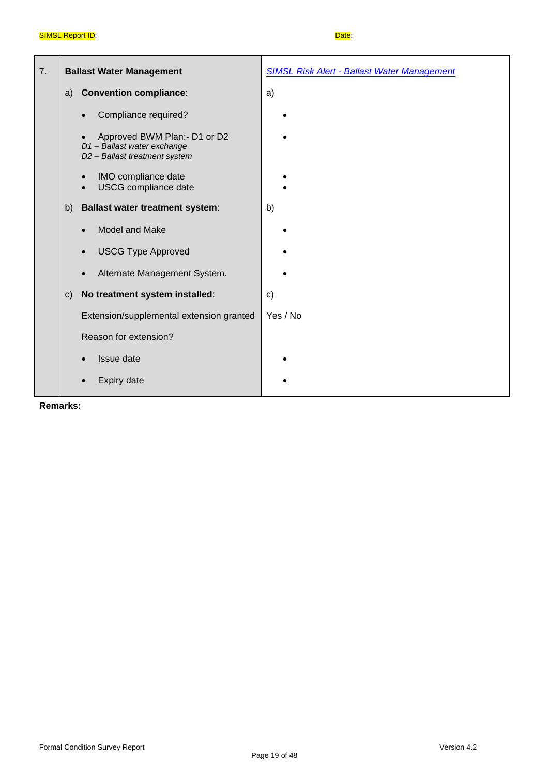| 7. | <b>Ballast Water Management</b>                                                            | <b>SIMSL Risk Alert - Ballast Water Management</b> |
|----|--------------------------------------------------------------------------------------------|----------------------------------------------------|
|    | <b>Convention compliance:</b><br>a)                                                        | a)                                                 |
|    | Compliance required?                                                                       |                                                    |
|    | Approved BWM Plan:- D1 or D2<br>D1-Ballast water exchange<br>D2 - Ballast treatment system |                                                    |
|    | IMO compliance date<br>$\bullet$<br>USCG compliance date<br>$\bullet$                      |                                                    |
|    | <b>Ballast water treatment system:</b><br>b)                                               | b)                                                 |
|    | Model and Make<br>$\bullet$                                                                |                                                    |
|    | <b>USCG Type Approved</b><br>$\bullet$                                                     |                                                    |
|    | Alternate Management System.                                                               |                                                    |
|    | No treatment system installed:<br>$\mathsf{C}$                                             | $\mathbf{c}$                                       |
|    | Extension/supplemental extension granted                                                   | Yes / No                                           |
|    | Reason for extension?                                                                      |                                                    |
|    | Issue date                                                                                 |                                                    |
|    | <b>Expiry date</b>                                                                         |                                                    |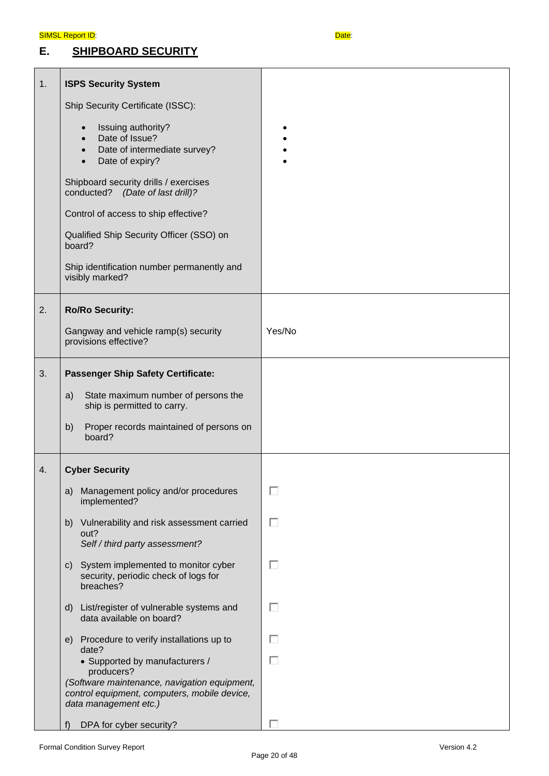## **E. SHIPBOARD SECURITY**



| 1. | <b>ISPS Security System</b>                                                                                                    |        |
|----|--------------------------------------------------------------------------------------------------------------------------------|--------|
|    | Ship Security Certificate (ISSC):                                                                                              |        |
|    | Issuing authority?<br>$\bullet$<br>Date of Issue?<br>Date of intermediate survey?<br>$\bullet$<br>Date of expiry?<br>$\bullet$ |        |
|    | Shipboard security drills / exercises<br>conducted? (Date of last drill)?                                                      |        |
|    | Control of access to ship effective?                                                                                           |        |
|    | Qualified Ship Security Officer (SSO) on<br>board?                                                                             |        |
|    | Ship identification number permanently and<br>visibly marked?                                                                  |        |
| 2. | <b>Ro/Ro Security:</b>                                                                                                         |        |
|    | Gangway and vehicle ramp(s) security<br>provisions effective?                                                                  | Yes/No |
| 3. | <b>Passenger Ship Safety Certificate:</b>                                                                                      |        |
|    | State maximum number of persons the<br>a)<br>ship is permitted to carry.                                                       |        |
|    | Proper records maintained of persons on<br>b)<br>board?                                                                        |        |
| 4. | <b>Cyber Security</b>                                                                                                          |        |
|    | Management policy and/or procedures<br>a)<br>implemented?                                                                      | п      |
|    | b) Vulnerability and risk assessment carried<br>out?<br>Self / third party assessment?                                         | П      |
|    | c) System implemented to monitor cyber<br>security, periodic check of logs for<br>breaches?                                    | П      |
|    | d) List/register of vulnerable systems and<br>data available on board?                                                         | п      |
|    | e) Procedure to verify installations up to<br>date?                                                                            | П      |
|    | • Supported by manufacturers /<br>producers?                                                                                   | П      |
|    | (Software maintenance, navigation equipment,<br>control equipment, computers, mobile device,<br>data management etc.)          |        |
|    | DPA for cyber security?<br>t)                                                                                                  |        |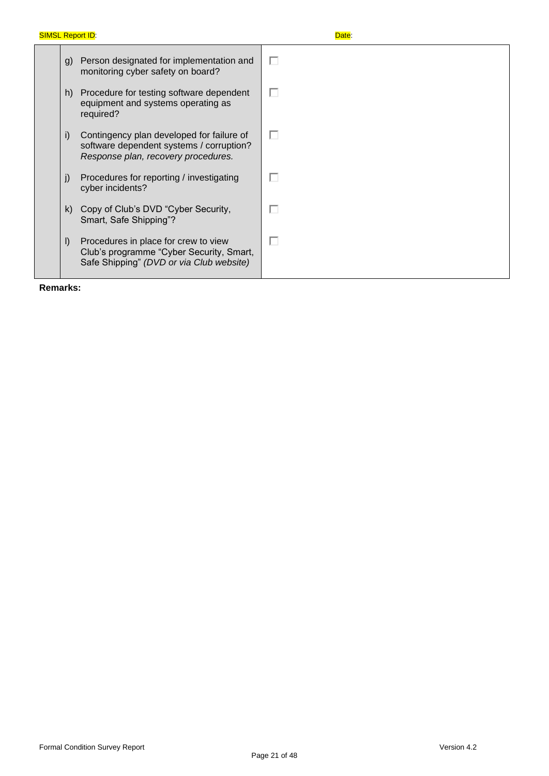| g)           | Person designated for implementation and<br>monitoring cyber safety on board?                                                | ш |
|--------------|------------------------------------------------------------------------------------------------------------------------------|---|
| h)           | Procedure for testing software dependent<br>equipment and systems operating as<br>required?                                  | п |
| i)           | Contingency plan developed for failure of<br>software dependent systems / corruption?<br>Response plan, recovery procedures. | г |
| $\mathbf{I}$ | Procedures for reporting / investigating<br>cyber incidents?                                                                 | П |
| k)           | Copy of Club's DVD "Cyber Security,<br>Smart, Safe Shipping"?                                                                | г |
| $\vert$      | Procedures in place for crew to view<br>Club's programme "Cyber Security, Smart,<br>Safe Shipping" (DVD or via Club website) | г |

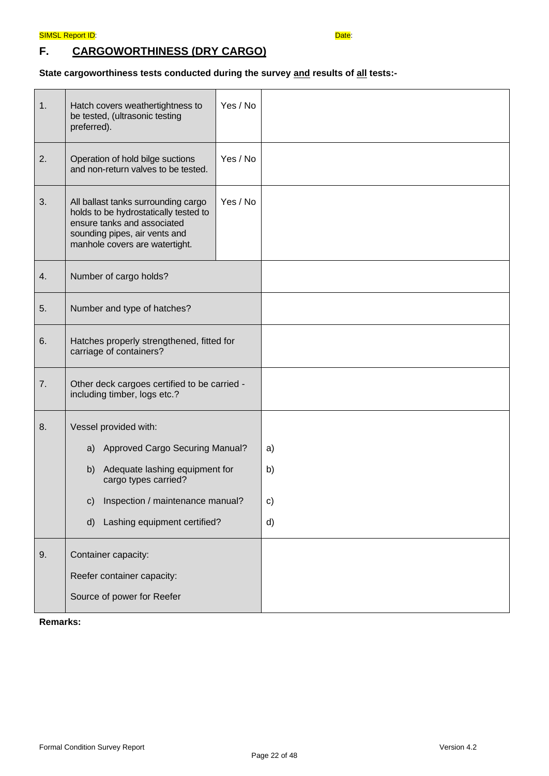## **F. CARGOWORTHINESS (DRY CARGO)**

## **State cargoworthiness tests conducted during the survey and results of all tests:-**

| 1. | Hatch covers weathertightness to<br>be tested, (ultrasonic testing<br>preferred).                                                                                              | Yes / No |    |
|----|--------------------------------------------------------------------------------------------------------------------------------------------------------------------------------|----------|----|
| 2. | Operation of hold bilge suctions<br>and non-return valves to be tested.                                                                                                        | Yes / No |    |
| 3. | All ballast tanks surrounding cargo<br>holds to be hydrostatically tested to<br>ensure tanks and associated<br>sounding pipes, air vents and<br>manhole covers are watertight. | Yes / No |    |
| 4. | Number of cargo holds?                                                                                                                                                         |          |    |
| 5. | Number and type of hatches?                                                                                                                                                    |          |    |
| 6. | Hatches properly strengthened, fitted for<br>carriage of containers?                                                                                                           |          |    |
| 7. | Other deck cargoes certified to be carried -<br>including timber, logs etc.?                                                                                                   |          |    |
| 8. | Vessel provided with:                                                                                                                                                          |          |    |
|    | a) Approved Cargo Securing Manual?                                                                                                                                             |          | a) |
|    | b) Adequate lashing equipment for<br>cargo types carried?                                                                                                                      |          | b) |
|    | c) Inspection / maintenance manual?                                                                                                                                            |          | c) |
|    | Lashing equipment certified?<br>d)                                                                                                                                             |          | d) |
| 9. | Container capacity:                                                                                                                                                            |          |    |
|    | Reefer container capacity:                                                                                                                                                     |          |    |
|    | Source of power for Reefer                                                                                                                                                     |          |    |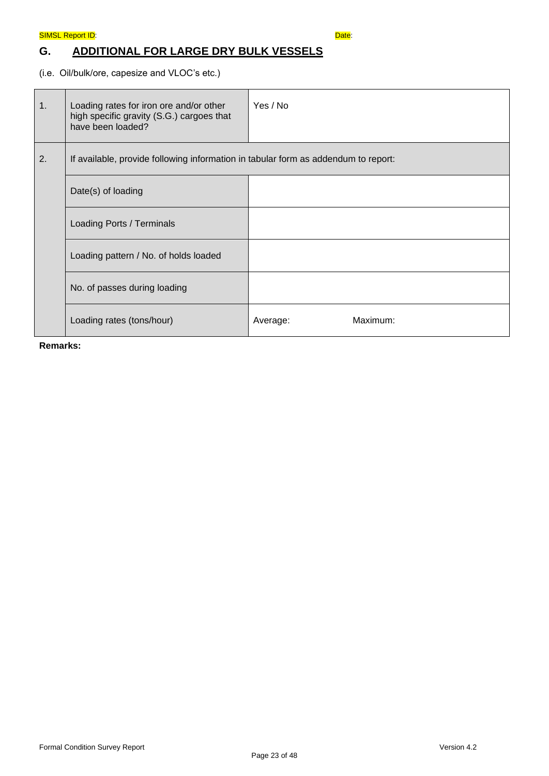## **G. ADDITIONAL FOR LARGE DRY BULK VESSELS**

(i.e. Oil/bulk/ore, capesize and VLOC's etc.)

| 1. | Loading rates for iron ore and/or other<br>high specific gravity (S.G.) cargoes that<br>have been loaded? | Yes / No             |
|----|-----------------------------------------------------------------------------------------------------------|----------------------|
| 2. | If available, provide following information in tabular form as addendum to report:                        |                      |
|    | Date(s) of loading                                                                                        |                      |
|    | Loading Ports / Terminals                                                                                 |                      |
|    | Loading pattern / No. of holds loaded                                                                     |                      |
|    | No. of passes during loading                                                                              |                      |
|    | Loading rates (tons/hour)                                                                                 | Maximum:<br>Average: |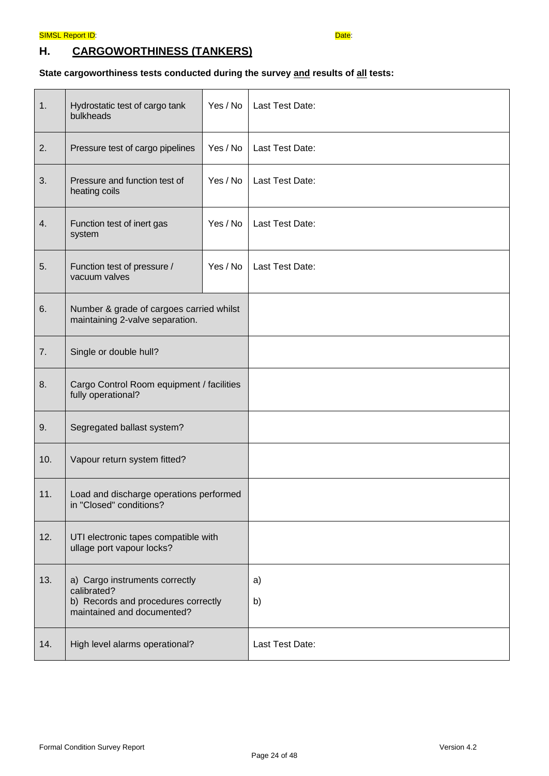## **H. CARGOWORTHINESS (TANKERS)**

## **State cargoworthiness tests conducted during the survey and results of all tests:**

| 1.  | Hydrostatic test of cargo tank<br>bulkheads                                                                        | Yes / No | Last Test Date: |
|-----|--------------------------------------------------------------------------------------------------------------------|----------|-----------------|
| 2.  | Pressure test of cargo pipelines                                                                                   | Yes / No | Last Test Date: |
| 3.  | Pressure and function test of<br>heating coils                                                                     | Yes / No | Last Test Date: |
| 4.  | Function test of inert gas<br>system                                                                               | Yes / No | Last Test Date: |
| 5.  | Function test of pressure /<br>vacuum valves                                                                       | Yes / No | Last Test Date: |
| 6.  | Number & grade of cargoes carried whilst<br>maintaining 2-valve separation.                                        |          |                 |
| 7.  | Single or double hull?                                                                                             |          |                 |
| 8.  | Cargo Control Room equipment / facilities<br>fully operational?                                                    |          |                 |
| 9.  | Segregated ballast system?                                                                                         |          |                 |
| 10. | Vapour return system fitted?                                                                                       |          |                 |
| 11. | Load and discharge operations performed<br>in "Closed" conditions?                                                 |          |                 |
| 12. | UTI electronic tapes compatible with<br>ullage port vapour locks?                                                  |          |                 |
| 13. | a) Cargo instruments correctly<br>calibrated?<br>b) Records and procedures correctly<br>maintained and documented? |          | a)<br>b)        |
| 14. | High level alarms operational?                                                                                     |          | Last Test Date: |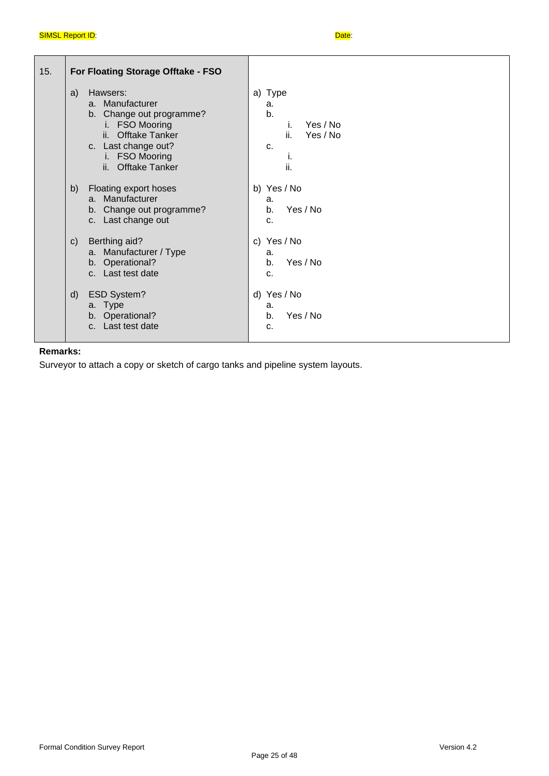| 15. | For Floating Storage Offtake - FSO                                                                                                                                                                           |                                                                             |
|-----|--------------------------------------------------------------------------------------------------------------------------------------------------------------------------------------------------------------|-----------------------------------------------------------------------------|
|     | Hawsers:<br>a)<br>a. Manufacturer<br>b. Change out programme?<br><b>FSO Mooring</b><br>i.<br><b>Offtake Tanker</b><br>ii.<br>c. Last change out?<br><b>FSO Mooring</b><br>i.<br><b>Offtake Tanker</b><br>ii. | a) Type<br>a.<br>b.<br>Yes / No<br>Τ.<br>ii.<br>Yes / No<br>C.<br>Τ.<br>ii. |
|     | Floating export hoses<br>b)<br>Manufacturer<br>$a_{-}$<br>b. Change out programme?<br>c. Last change out                                                                                                     | b) Yes / No<br>a.<br>Yes / No<br>b.<br>C.                                   |
|     | Berthing aid?<br>$\mathsf{C}$<br>a. Manufacturer / Type<br>b. Operational?<br>c. Last test date                                                                                                              | c) Yes / No<br>a.<br>Yes / No<br>b.<br>C.                                   |
|     | <b>ESD System?</b><br>$\mathsf{d}$<br>a. Type<br>b. Operational?<br>c. Last test date                                                                                                                        | d) Yes / No<br>a.<br>Yes / No<br>b.<br>C.                                   |

## **Remarks:**

Surveyor to attach a copy or sketch of cargo tanks and pipeline system layouts.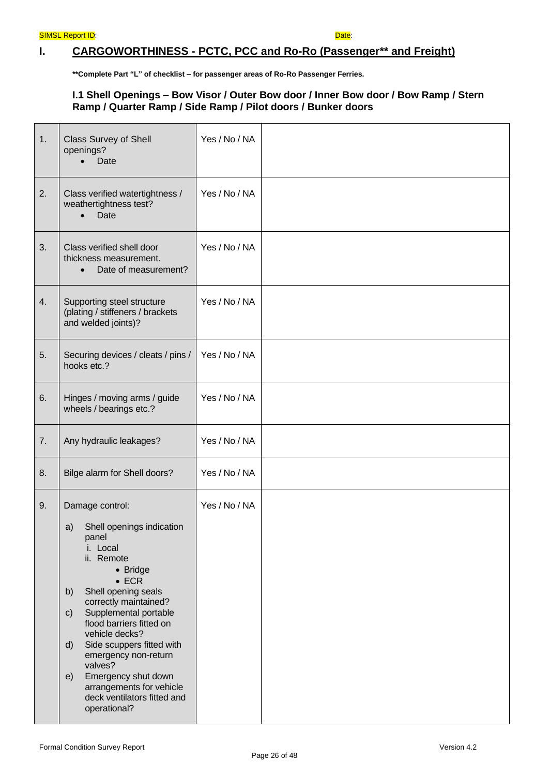## **I. CARGOWORTHINESS - PCTC, PCC and Ro-Ro (Passenger\*\* and Freight)**

**\*\*Complete Part "L" of checklist – for passenger areas of Ro-Ro Passenger Ferries.** 

### **I.1 Shell Openings – Bow Visor / Outer Bow door / Inner Bow door / Bow Ramp / Stern Ramp / Quarter Ramp / Side Ramp / Pilot doors / Bunker doors**

| 1. | <b>Class Survey of Shell</b><br>openings?<br>Date                                                                                                                                                                                                                                                                                                                                                                                                       | Yes / No / NA |  |
|----|---------------------------------------------------------------------------------------------------------------------------------------------------------------------------------------------------------------------------------------------------------------------------------------------------------------------------------------------------------------------------------------------------------------------------------------------------------|---------------|--|
| 2. | Class verified watertightness /<br>weathertightness test?<br>Date<br>$\bullet$                                                                                                                                                                                                                                                                                                                                                                          | Yes / No / NA |  |
| 3. | Class verified shell door<br>thickness measurement.<br>Date of measurement?<br>$\bullet$                                                                                                                                                                                                                                                                                                                                                                | Yes / No / NA |  |
| 4. | Supporting steel structure<br>(plating / stiffeners / brackets<br>and welded joints)?                                                                                                                                                                                                                                                                                                                                                                   | Yes / No / NA |  |
| 5. | Securing devices / cleats / pins /<br>hooks etc.?                                                                                                                                                                                                                                                                                                                                                                                                       | Yes / No / NA |  |
| 6. | Hinges / moving arms / guide<br>wheels / bearings etc.?                                                                                                                                                                                                                                                                                                                                                                                                 | Yes / No / NA |  |
| 7. | Any hydraulic leakages?                                                                                                                                                                                                                                                                                                                                                                                                                                 | Yes / No / NA |  |
| 8. | Bilge alarm for Shell doors?                                                                                                                                                                                                                                                                                                                                                                                                                            | Yes / No / NA |  |
| 9. | Damage control:<br>Shell openings indication<br>a)<br>panel<br>i. Local<br>ii. Remote<br>• Bridge<br>$\bullet$ ECR<br>Shell opening seals<br>b)<br>correctly maintained?<br>Supplemental portable<br>$\mathsf{c}$<br>flood barriers fitted on<br>vehicle decks?<br>Side scuppers fitted with<br>$\mathsf{d}$<br>emergency non-return<br>valves?<br>Emergency shut down<br>e)<br>arrangements for vehicle<br>deck ventilators fitted and<br>operational? | Yes / No / NA |  |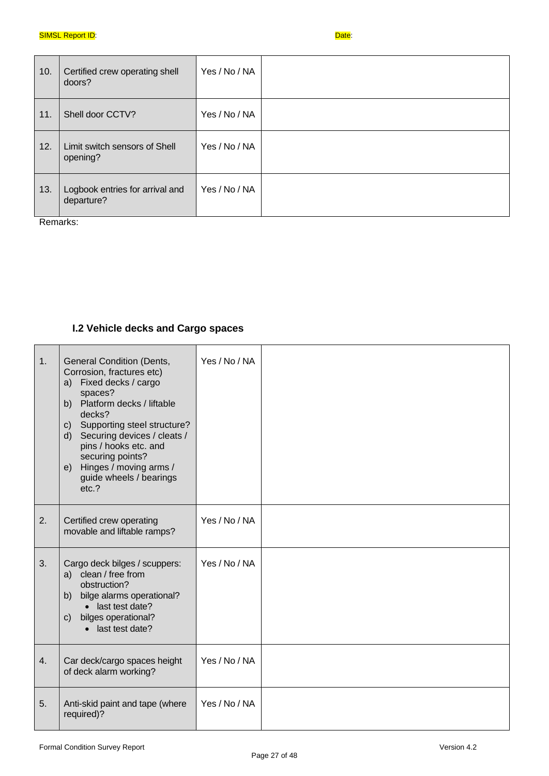| 10. | Certified crew operating shell<br>doors?      | Yes / No / NA |  |
|-----|-----------------------------------------------|---------------|--|
| 11. | Shell door CCTV?                              | Yes / No / NA |  |
| 12. | Limit switch sensors of Shell<br>opening?     | Yes / No / NA |  |
| 13. | Logbook entries for arrival and<br>departure? | Yes / No / NA |  |

Remarks:

## **I.2 Vehicle decks and Cargo spaces**

| 1. | <b>General Condition (Dents,</b><br>Corrosion, fractures etc)<br>Fixed decks / cargo<br>a)<br>spaces?<br>b) Platform decks / liftable<br>decks?<br>c) Supporting steel structure?<br>d) Securing devices / cleats /<br>pins / hooks etc. and<br>securing points?<br>e) Hinges / moving arms /<br>guide wheels / bearings<br>etc.? | Yes / No / NA |  |
|----|-----------------------------------------------------------------------------------------------------------------------------------------------------------------------------------------------------------------------------------------------------------------------------------------------------------------------------------|---------------|--|
| 2. | Certified crew operating<br>movable and liftable ramps?                                                                                                                                                                                                                                                                           | Yes / No / NA |  |
| 3. | Cargo deck bilges / scuppers:<br>a) clean / free from<br>obstruction?<br>bilge alarms operational?<br>b)<br>• last test date?<br>bilges operational?<br>C)<br>• last test date?                                                                                                                                                   | Yes / No / NA |  |
| 4. | Car deck/cargo spaces height<br>of deck alarm working?                                                                                                                                                                                                                                                                            | Yes / No / NA |  |
| 5. | Anti-skid paint and tape (where<br>required)?                                                                                                                                                                                                                                                                                     | Yes / No / NA |  |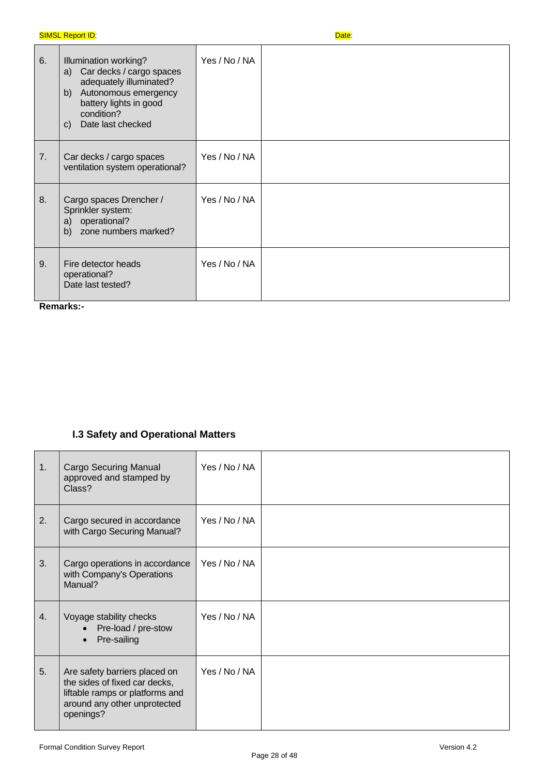| 6. | Illumination working?<br>a) Car decks / cargo spaces<br>adequately illuminated?<br>Autonomous emergency<br>b)<br>battery lights in good<br>condition?<br>Date last checked<br>$\mathsf{C}$ | Yes / No / NA |  |
|----|--------------------------------------------------------------------------------------------------------------------------------------------------------------------------------------------|---------------|--|
| 7. | Car decks / cargo spaces<br>ventilation system operational?                                                                                                                                | Yes / No / NA |  |
| 8. | Cargo spaces Drencher /<br>Sprinkler system:<br>operational?<br>a)<br>zone numbers marked?<br>b)                                                                                           | Yes / No / NA |  |
| 9. | Fire detector heads<br>operational?<br>Date last tested?                                                                                                                                   | Yes / No / NA |  |

**Remarks:-**

## **I.3 Safety and Operational Matters**

| 1. | <b>Cargo Securing Manual</b><br>approved and stamped by<br>Class?                                                                              | Yes / No / NA |  |
|----|------------------------------------------------------------------------------------------------------------------------------------------------|---------------|--|
| 2. | Cargo secured in accordance<br>with Cargo Securing Manual?                                                                                     | Yes / No / NA |  |
| 3. | Cargo operations in accordance<br>with Company's Operations<br>Manual?                                                                         | Yes / No / NA |  |
| 4. | Voyage stability checks<br>Pre-load / pre-stow<br>Pre-sailing                                                                                  | Yes / No / NA |  |
| 5. | Are safety barriers placed on<br>the sides of fixed car decks,<br>liftable ramps or platforms and<br>around any other unprotected<br>openings? | Yes / No / NA |  |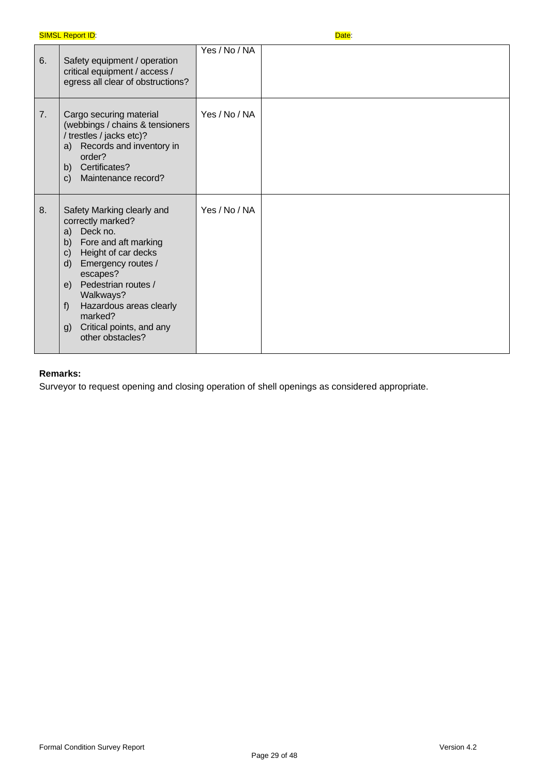| 6. | Safety equipment / operation<br>critical equipment / access /<br>egress all clear of obstructions?                                                                                                                                                                                                               | Yes / No / NA |  |
|----|------------------------------------------------------------------------------------------------------------------------------------------------------------------------------------------------------------------------------------------------------------------------------------------------------------------|---------------|--|
| 7. | Cargo securing material<br>(webbings / chains & tensioners<br>/ trestles / jacks etc)?<br>Records and inventory in<br>a)<br>order?<br>b) Certificates?<br>Maintenance record?<br>C)                                                                                                                              | Yes / No / NA |  |
| 8. | Safety Marking clearly and<br>correctly marked?<br>Deck no.<br>a)<br>b)<br>Fore and aft marking<br>Height of car decks<br>C)<br>Emergency routes /<br>d)<br>escapes?<br>Pedestrian routes /<br>e)<br>Walkways?<br>Hazardous areas clearly<br>f)<br>marked?<br>Critical points, and any<br>g)<br>other obstacles? | Yes / No / NA |  |

## **Remarks:**

Surveyor to request opening and closing operation of shell openings as considered appropriate.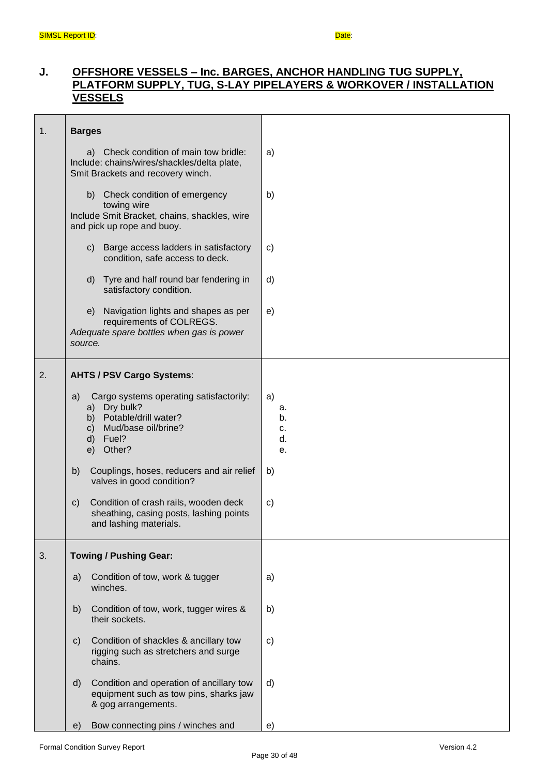## **J. OFFSHORE VESSELS – Inc. BARGES, ANCHOR HANDLING TUG SUPPLY, PLATFORM SUPPLY, TUG, S-LAY PIPELAYERS & WORKOVER / INSTALLATION VESSELS**

| 1. | <b>Barges</b>                                                                                                                                                                                                                                                                        |                                              |
|----|--------------------------------------------------------------------------------------------------------------------------------------------------------------------------------------------------------------------------------------------------------------------------------------|----------------------------------------------|
|    | a) Check condition of main tow bridle:<br>Include: chains/wires/shackles/delta plate,<br>Smit Brackets and recovery winch.                                                                                                                                                           | a)                                           |
|    | b) Check condition of emergency<br>towing wire<br>Include Smit Bracket, chains, shackles, wire<br>and pick up rope and buoy.                                                                                                                                                         | b)                                           |
|    | Barge access ladders in satisfactory<br>$\mathsf{C}$<br>condition, safe access to deck.                                                                                                                                                                                              | c)                                           |
|    | Tyre and half round bar fendering in<br>d)<br>satisfactory condition.                                                                                                                                                                                                                | d)                                           |
|    | e) Navigation lights and shapes as per<br>requirements of COLREGS.<br>Adequate spare bottles when gas is power<br>source.                                                                                                                                                            | e)                                           |
| 2. | <b>AHTS / PSV Cargo Systems:</b>                                                                                                                                                                                                                                                     |                                              |
|    | Cargo systems operating satisfactorily:<br>a)<br>a) Dry bulk?<br>b) Potable/drill water?<br>c) Mud/base oil/brine?<br>d) Fuel?<br>e) Other?<br>Couplings, hoses, reducers and air relief<br>b)<br>valves in good condition?<br>Condition of crash rails, wooden deck<br>$\mathsf{C}$ | a)<br>а.<br>b.<br>c.<br>d.<br>е.<br>b)<br>C) |
|    | sheathing, casing posts, lashing points<br>and lashing materials.                                                                                                                                                                                                                    |                                              |
| 3. | <b>Towing / Pushing Gear:</b>                                                                                                                                                                                                                                                        |                                              |
|    | Condition of tow, work & tugger<br>a)<br>winches.                                                                                                                                                                                                                                    | a)                                           |
|    | b)<br>Condition of tow, work, tugger wires &<br>their sockets.                                                                                                                                                                                                                       | b)                                           |
|    | c)<br>Condition of shackles & ancillary tow<br>rigging such as stretchers and surge<br>chains.                                                                                                                                                                                       | c)                                           |
|    | d)<br>Condition and operation of ancillary tow<br>equipment such as tow pins, sharks jaw<br>& gog arrangements.                                                                                                                                                                      | d)                                           |
|    | Bow connecting pins / winches and<br>e)                                                                                                                                                                                                                                              | e)                                           |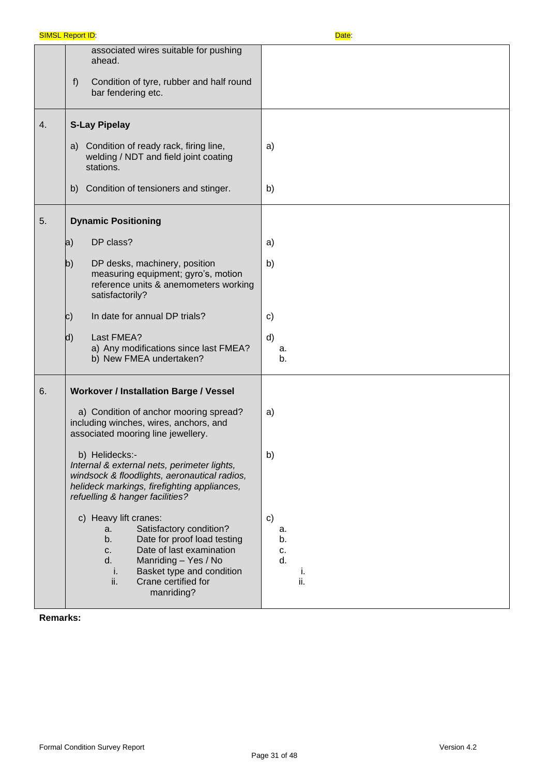|    | <b>SIMSL Report ID:</b>                                                                                                                                                                                                                    | Date:                                             |  |  |
|----|--------------------------------------------------------------------------------------------------------------------------------------------------------------------------------------------------------------------------------------------|---------------------------------------------------|--|--|
|    | associated wires suitable for pushing<br>ahead.<br>f)<br>Condition of tyre, rubber and half round<br>bar fendering etc.                                                                                                                    |                                                   |  |  |
| 4. | <b>S-Lay Pipelay</b>                                                                                                                                                                                                                       |                                                   |  |  |
|    | Condition of ready rack, firing line,<br>a)<br>welding / NDT and field joint coating<br>stations.                                                                                                                                          | a)                                                |  |  |
|    | Condition of tensioners and stinger.<br>b)                                                                                                                                                                                                 | b)                                                |  |  |
| 5. | <b>Dynamic Positioning</b>                                                                                                                                                                                                                 |                                                   |  |  |
|    | DP class?<br>a)                                                                                                                                                                                                                            | a)                                                |  |  |
|    | $\mathsf{b}$<br>DP desks, machinery, position<br>measuring equipment; gyro's, motion<br>reference units & anemometers working<br>satisfactorily?                                                                                           | b)                                                |  |  |
|    | In date for annual DP trials?<br>$\vert c)$                                                                                                                                                                                                | c)                                                |  |  |
|    | d)<br>Last FMEA?<br>a) Any modifications since last FMEA?<br>b) New FMEA undertaken?                                                                                                                                                       | d)<br>a.<br>b.                                    |  |  |
| 6. | <b>Workover / Installation Barge / Vessel</b>                                                                                                                                                                                              |                                                   |  |  |
|    | a) Condition of anchor mooring spread?<br>including winches, wires, anchors, and<br>associated mooring line jewellery.                                                                                                                     | a)                                                |  |  |
|    | b) Helidecks:-<br>Internal & external nets, perimeter lights,<br>windsock & floodlights, aeronautical radios,<br>helideck markings, firefighting appliances,<br>refuelling & hanger facilities?                                            | b)                                                |  |  |
|    | c) Heavy lift cranes:<br>Satisfactory condition?<br>a.<br>Date for proof load testing<br>b.<br>Date of last examination<br>C.<br>Manriding - Yes / No<br>d.<br>Basket type and condition<br>i.<br>ii.<br>Crane certified for<br>manriding? | $\mathsf{c}$<br>a.<br>b.<br>c.<br>d.<br>Ť.<br>ii. |  |  |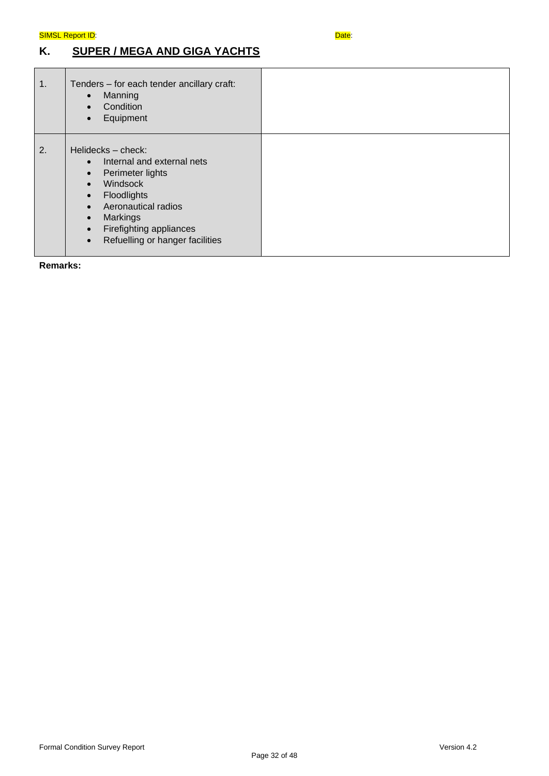## **K. SUPER / MEGA AND GIGA YACHTS**

| 1. | Tenders - for each tender ancillary craft:<br>Manning<br>$\bullet$<br>Condition<br>$\bullet$<br>Equipment                                                                                                                                                                                                |  |
|----|----------------------------------------------------------------------------------------------------------------------------------------------------------------------------------------------------------------------------------------------------------------------------------------------------------|--|
| 2. | Helidecks - check:<br>Internal and external nets<br>$\bullet$<br>Perimeter lights<br>$\bullet$<br>Windsock<br>$\bullet$<br>Floodlights<br>$\bullet$<br>Aeronautical radios<br>$\bullet$<br>Markings<br>$\bullet$<br>Firefighting appliances<br>$\bullet$<br>Refuelling or hanger facilities<br>$\bullet$ |  |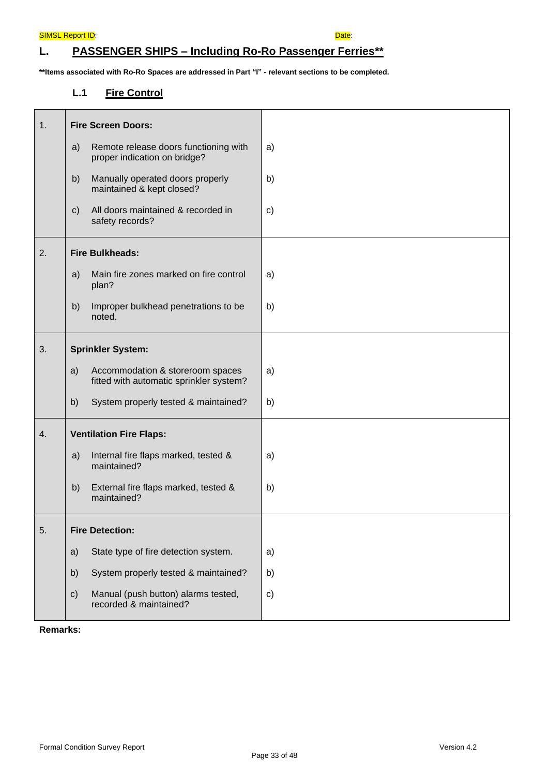## **L. PASSENGER SHIPS – Including Ro-Ro Passenger Ferries\*\***

**\*\*Items associated with Ro-Ro Spaces are addressed in Part "I" - relevant sections to be completed.** 

## **L.1 Fire Control**

| 1. | <b>Fire Screen Doors:</b>                                                         |              |
|----|-----------------------------------------------------------------------------------|--------------|
|    | Remote release doors functioning with<br>a)<br>proper indication on bridge?       | a)           |
|    | Manually operated doors properly<br>b)<br>maintained & kept closed?               | b)           |
|    | All doors maintained & recorded in<br>$\mathsf{c})$<br>safety records?            | c)           |
| 2. | <b>Fire Bulkheads:</b>                                                            |              |
|    | Main fire zones marked on fire control<br>a)<br>plan?                             | a)           |
|    | b)<br>Improper bulkhead penetrations to be<br>noted.                              | b)           |
| 3. | <b>Sprinkler System:</b>                                                          |              |
|    | a)<br>Accommodation & storeroom spaces<br>fitted with automatic sprinkler system? | a)           |
|    | b)<br>System properly tested & maintained?                                        | b)           |
| 4. | <b>Ventilation Fire Flaps:</b>                                                    |              |
|    | a)<br>Internal fire flaps marked, tested &<br>maintained?                         | a)           |
|    | b)<br>External fire flaps marked, tested &<br>maintained?                         | b)           |
| 5. | <b>Fire Detection:</b>                                                            |              |
|    | State type of fire detection system.<br>a)                                        | a)           |
|    | b)<br>System properly tested & maintained?                                        | b)           |
|    | c)<br>Manual (push button) alarms tested,<br>recorded & maintained?               | $\mathbf{c}$ |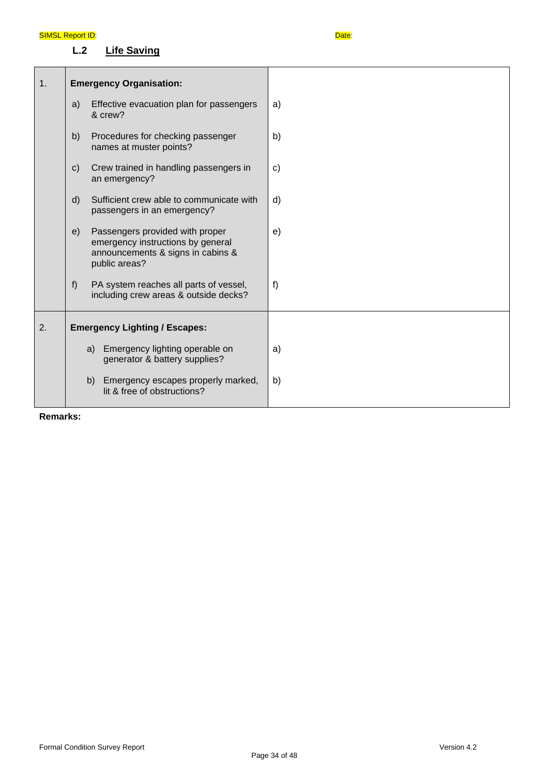**L.2 Life Saving**

| 1. |                                      | <b>Emergency Organisation:</b>                                                                                             |              |
|----|--------------------------------------|----------------------------------------------------------------------------------------------------------------------------|--------------|
|    | a)                                   | Effective evacuation plan for passengers<br>& crew?                                                                        | a)           |
|    | b)                                   | Procedures for checking passenger<br>names at muster points?                                                               | b)           |
|    | $\mathsf{c})$                        | Crew trained in handling passengers in<br>an emergency?                                                                    | $\mathbf{C}$ |
|    | d)                                   | Sufficient crew able to communicate with<br>passengers in an emergency?                                                    | d)           |
|    | e)                                   | Passengers provided with proper<br>emergency instructions by general<br>announcements & signs in cabins &<br>public areas? | e)           |
|    | f)                                   | PA system reaches all parts of vessel,<br>including crew areas & outside decks?                                            | f)           |
| 2. | <b>Emergency Lighting / Escapes:</b> |                                                                                                                            |              |
|    |                                      | Emergency lighting operable on<br>a)<br>generator & battery supplies?                                                      | a)           |
|    |                                      | b)<br>Emergency escapes properly marked,<br>lit & free of obstructions?                                                    | b)           |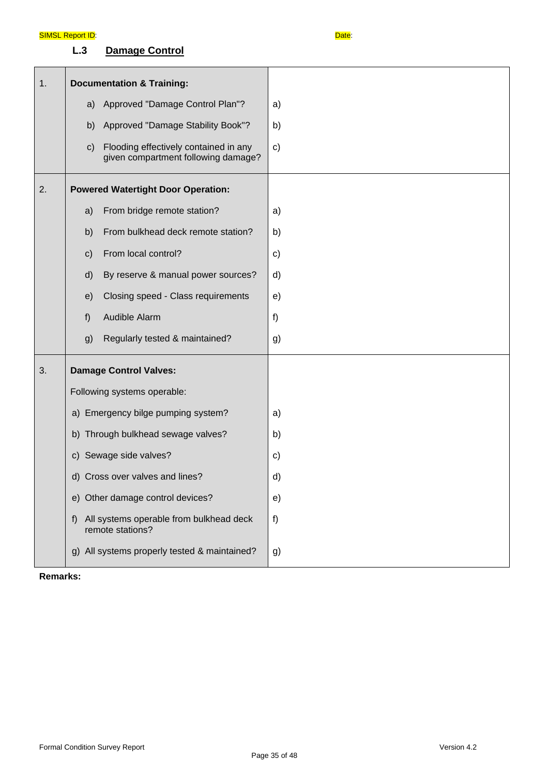## **L.3 Damage Control**

| 1. | <b>Documentation &amp; Training:</b> |                                                                              |               |
|----|--------------------------------------|------------------------------------------------------------------------------|---------------|
|    | a)                                   | Approved "Damage Control Plan"?                                              | a)            |
|    | b)                                   | Approved "Damage Stability Book"?                                            | b)            |
|    | $\mathbf{c})$                        | Flooding effectively contained in any<br>given compartment following damage? | $\mathbf{c})$ |
| 2. |                                      | <b>Powered Watertight Door Operation:</b>                                    |               |
|    | a)                                   | From bridge remote station?                                                  | a)            |
|    | b)                                   | From bulkhead deck remote station?                                           | b)            |
|    | $\mathsf{c}$                         | From local control?                                                          | $\mathbf{c}$  |
|    | d)                                   | By reserve & manual power sources?                                           | d)            |
|    | e)                                   | Closing speed - Class requirements                                           | e)            |
|    | f)                                   | Audible Alarm                                                                | f)            |
|    | g)                                   | Regularly tested & maintained?                                               | g)            |
| 3. |                                      | <b>Damage Control Valves:</b>                                                |               |
|    |                                      | Following systems operable:                                                  |               |
|    | a) Emergency bilge pumping system?   |                                                                              | a)            |
|    | b) Through bulkhead sewage valves?   |                                                                              | b)            |
|    | c) Sewage side valves?               |                                                                              | c)            |
|    |                                      | d) Cross over valves and lines?                                              | d)            |
|    |                                      | e) Other damage control devices?                                             | e)            |
|    | f)                                   | All systems operable from bulkhead deck<br>remote stations?                  | f)            |
|    | g)                                   | All systems properly tested & maintained?                                    | g)            |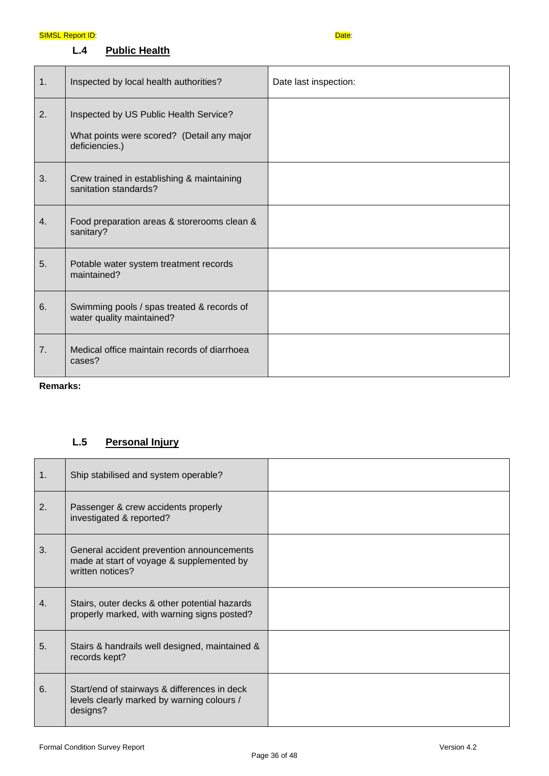### SIMSL Report ID: Date:

## **L.4 Public Health**

**Remarks:**

## **L.5 Personal Injury**

| 1. | Ship stabilised and system operable?                                                                       |  |
|----|------------------------------------------------------------------------------------------------------------|--|
| 2. | Passenger & crew accidents properly<br>investigated & reported?                                            |  |
| 3. | General accident prevention announcements<br>made at start of voyage & supplemented by<br>written notices? |  |
| 4. | Stairs, outer decks & other potential hazards<br>properly marked, with warning signs posted?               |  |
| 5. | Stairs & handrails well designed, maintained &<br>records kept?                                            |  |
| 6. | Start/end of stairways & differences in deck<br>levels clearly marked by warning colours /<br>designs?     |  |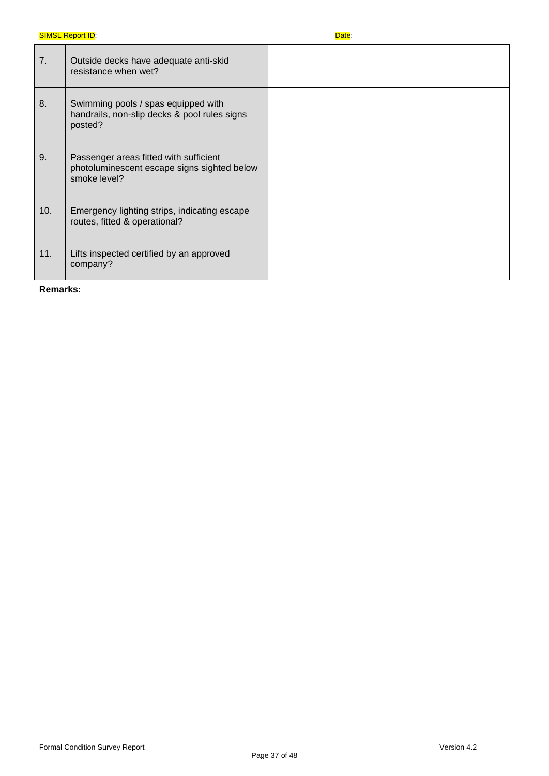| 7.  | Outside decks have adequate anti-skid<br>resistance when wet?                                         |  |
|-----|-------------------------------------------------------------------------------------------------------|--|
| 8.  | Swimming pools / spas equipped with<br>handrails, non-slip decks & pool rules signs<br>posted?        |  |
| 9.  | Passenger areas fitted with sufficient<br>photoluminescent escape signs sighted below<br>smoke level? |  |
| 10. | Emergency lighting strips, indicating escape<br>routes, fitted & operational?                         |  |
| 11. | Lifts inspected certified by an approved<br>company?                                                  |  |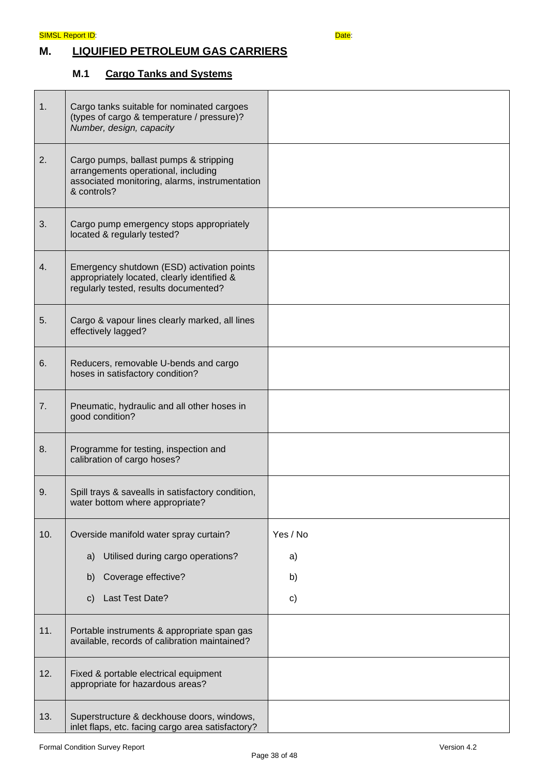## **M. LIQUIFIED PETROLEUM GAS CARRIERS**

## **M.1 Cargo Tanks and Systems**

| 1.  | Cargo tanks suitable for nominated cargoes<br>(types of cargo & temperature / pressure)?<br>Number, design, capacity                           |          |
|-----|------------------------------------------------------------------------------------------------------------------------------------------------|----------|
| 2.  | Cargo pumps, ballast pumps & stripping<br>arrangements operational, including<br>associated monitoring, alarms, instrumentation<br>& controls? |          |
| 3.  | Cargo pump emergency stops appropriately<br>located & regularly tested?                                                                        |          |
| 4.  | Emergency shutdown (ESD) activation points<br>appropriately located, clearly identified &<br>regularly tested, results documented?             |          |
| 5.  | Cargo & vapour lines clearly marked, all lines<br>effectively lagged?                                                                          |          |
| 6.  | Reducers, removable U-bends and cargo<br>hoses in satisfactory condition?                                                                      |          |
| 7.  | Pneumatic, hydraulic and all other hoses in<br>good condition?                                                                                 |          |
| 8.  | Programme for testing, inspection and<br>calibration of cargo hoses?                                                                           |          |
| 9.  | Spill trays & savealls in satisfactory condition,<br>water bottom where appropriate?                                                           |          |
| 10. | Overside manifold water spray curtain?                                                                                                         | Yes / No |
|     | Utilised during cargo operations?<br>a)                                                                                                        | a)       |
|     | Coverage effective?<br>b)                                                                                                                      | b)       |
|     | Last Test Date?<br>$\mathsf{C}$                                                                                                                | c)       |
| 11. | Portable instruments & appropriate span gas<br>available, records of calibration maintained?                                                   |          |
| 12. | Fixed & portable electrical equipment<br>appropriate for hazardous areas?                                                                      |          |
| 13. | Superstructure & deckhouse doors, windows,<br>inlet flaps, etc. facing cargo area satisfactory?                                                |          |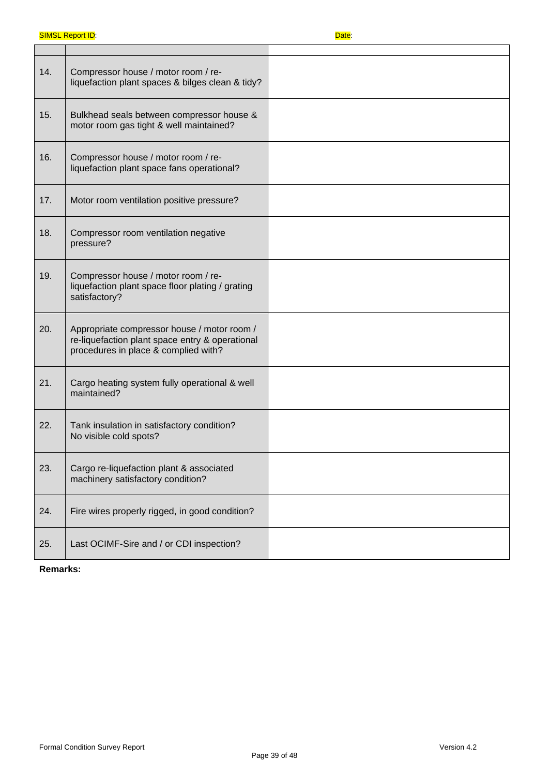| 14. | Compressor house / motor room / re-<br>liquefaction plant spaces & bilges clean & tidy?                                                |  |
|-----|----------------------------------------------------------------------------------------------------------------------------------------|--|
| 15. | Bulkhead seals between compressor house &<br>motor room gas tight & well maintained?                                                   |  |
| 16. | Compressor house / motor room / re-<br>liquefaction plant space fans operational?                                                      |  |
| 17. | Motor room ventilation positive pressure?                                                                                              |  |
| 18. | Compressor room ventilation negative<br>pressure?                                                                                      |  |
| 19. | Compressor house / motor room / re-<br>liquefaction plant space floor plating / grating<br>satisfactory?                               |  |
| 20. | Appropriate compressor house / motor room /<br>re-liquefaction plant space entry & operational<br>procedures in place & complied with? |  |
| 21. | Cargo heating system fully operational & well<br>maintained?                                                                           |  |
| 22. | Tank insulation in satisfactory condition?<br>No visible cold spots?                                                                   |  |
| 23. | Cargo re-liquefaction plant & associated<br>machinery satisfactory condition?                                                          |  |
| 24. | Fire wires properly rigged, in good condition?                                                                                         |  |
| 25. | Last OCIMF-Sire and / or CDI inspection?                                                                                               |  |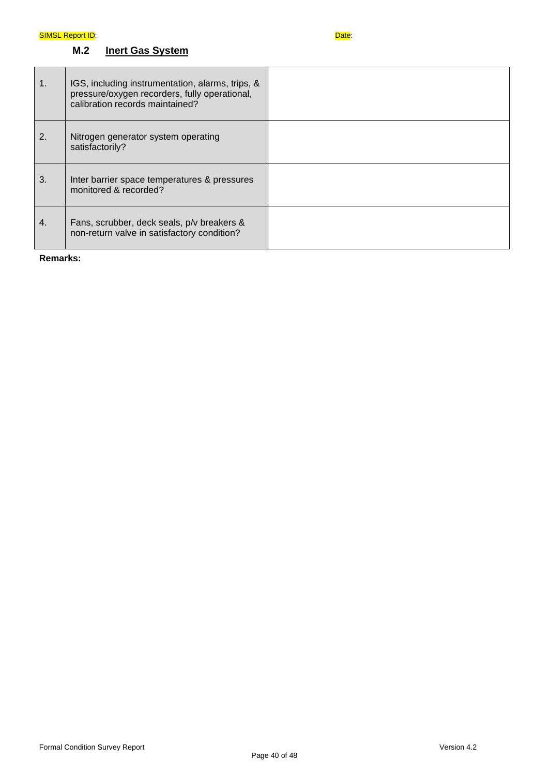## **M.2 Inert Gas System**

| $\mathbf{1}$ . | IGS, including instrumentation, alarms, trips, &<br>pressure/oxygen recorders, fully operational,<br>calibration records maintained? |  |
|----------------|--------------------------------------------------------------------------------------------------------------------------------------|--|
| 2.             | Nitrogen generator system operating<br>satisfactorily?                                                                               |  |
| 3.             | Inter barrier space temperatures & pressures<br>monitored & recorded?                                                                |  |
| 4.             | Fans, scrubber, deck seals, p/v breakers &<br>non-return valve in satisfactory condition?                                            |  |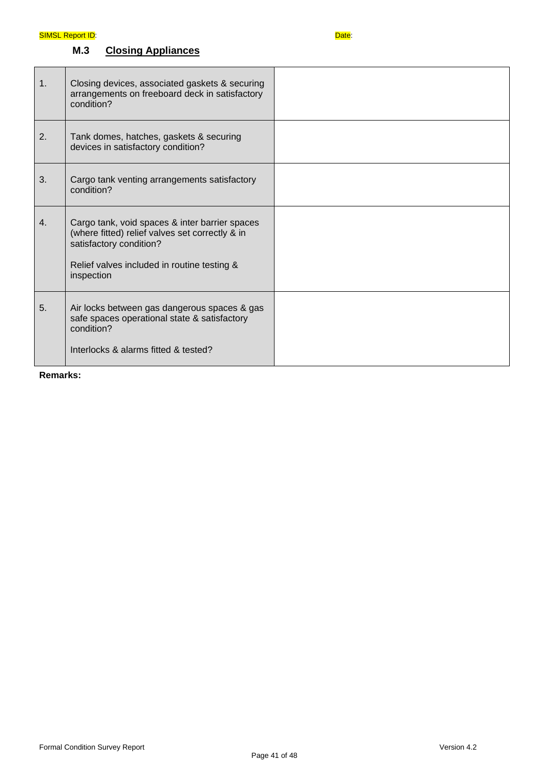## **M.3 Closing Appliances**

| 1 <sub>1</sub> | Closing devices, associated gaskets & securing<br>arrangements on freeboard deck in satisfactory<br>condition?                                                                            |  |
|----------------|-------------------------------------------------------------------------------------------------------------------------------------------------------------------------------------------|--|
| 2.             | Tank domes, hatches, gaskets & securing<br>devices in satisfactory condition?                                                                                                             |  |
| 3.             | Cargo tank venting arrangements satisfactory<br>condition?                                                                                                                                |  |
| 4.             | Cargo tank, void spaces & inter barrier spaces<br>(where fitted) relief valves set correctly & in<br>satisfactory condition?<br>Relief valves included in routine testing &<br>inspection |  |
| 5.             | Air locks between gas dangerous spaces & gas<br>safe spaces operational state & satisfactory<br>condition?<br>Interlocks & alarms fitted & tested?                                        |  |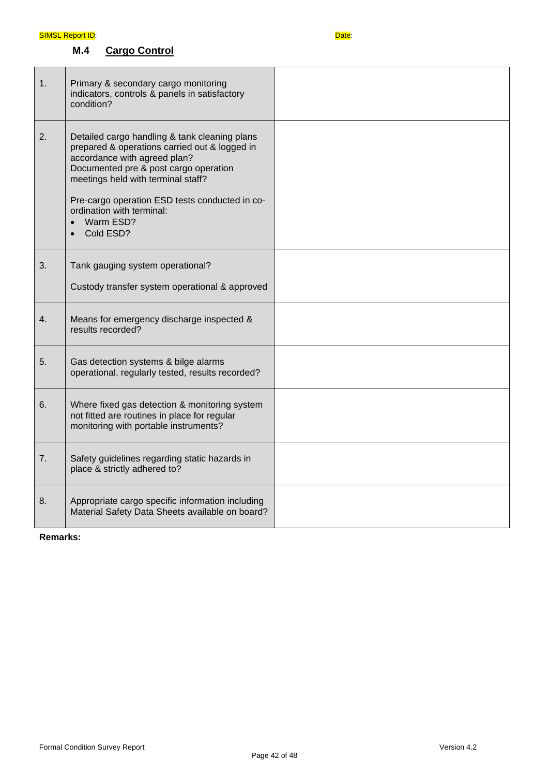## **M.4 Cargo Control**

| 1. | Primary & secondary cargo monitoring<br>indicators, controls & panels in satisfactory<br>condition?                                                                                                                                                                                                                                 |  |
|----|-------------------------------------------------------------------------------------------------------------------------------------------------------------------------------------------------------------------------------------------------------------------------------------------------------------------------------------|--|
| 2. | Detailed cargo handling & tank cleaning plans<br>prepared & operations carried out & logged in<br>accordance with agreed plan?<br>Documented pre & post cargo operation<br>meetings held with terminal staff?<br>Pre-cargo operation ESD tests conducted in co-<br>ordination with terminal:<br>Warm ESD?<br>$\bullet$<br>Cold ESD? |  |
| 3. | Tank gauging system operational?<br>Custody transfer system operational & approved                                                                                                                                                                                                                                                  |  |
| 4. | Means for emergency discharge inspected &<br>results recorded?                                                                                                                                                                                                                                                                      |  |
| 5. | Gas detection systems & bilge alarms<br>operational, regularly tested, results recorded?                                                                                                                                                                                                                                            |  |
| 6. | Where fixed gas detection & monitoring system<br>not fitted are routines in place for regular<br>monitoring with portable instruments?                                                                                                                                                                                              |  |
| 7. | Safety guidelines regarding static hazards in<br>place & strictly adhered to?                                                                                                                                                                                                                                                       |  |
| 8. | Appropriate cargo specific information including<br>Material Safety Data Sheets available on board?                                                                                                                                                                                                                                 |  |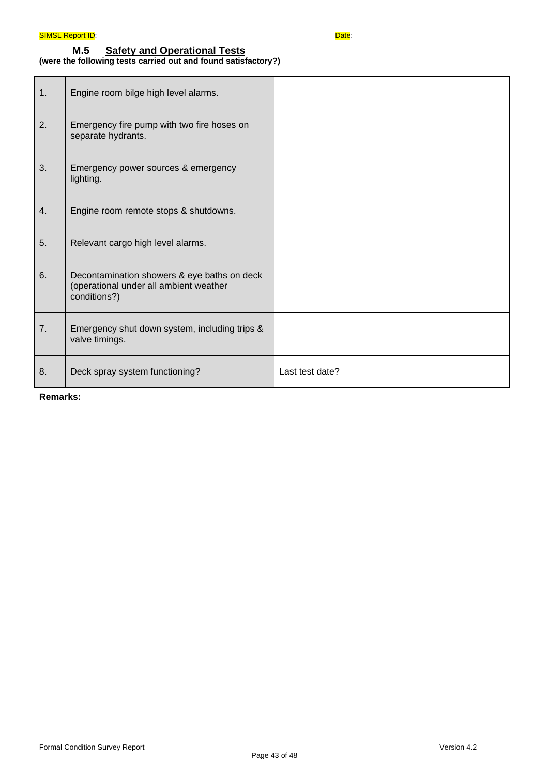### **M.5 Safety and Operational Tests (were the following tests carried out and found satisfactory?)**

| 1. | Engine room bilge high level alarms.                                                                  |                 |
|----|-------------------------------------------------------------------------------------------------------|-----------------|
| 2. | Emergency fire pump with two fire hoses on<br>separate hydrants.                                      |                 |
| 3. | Emergency power sources & emergency<br>lighting.                                                      |                 |
| 4. | Engine room remote stops & shutdowns.                                                                 |                 |
| 5. | Relevant cargo high level alarms.                                                                     |                 |
| 6. | Decontamination showers & eye baths on deck<br>(operational under all ambient weather<br>conditions?) |                 |
| 7. | Emergency shut down system, including trips &<br>valve timings.                                       |                 |
| 8. | Deck spray system functioning?                                                                        | Last test date? |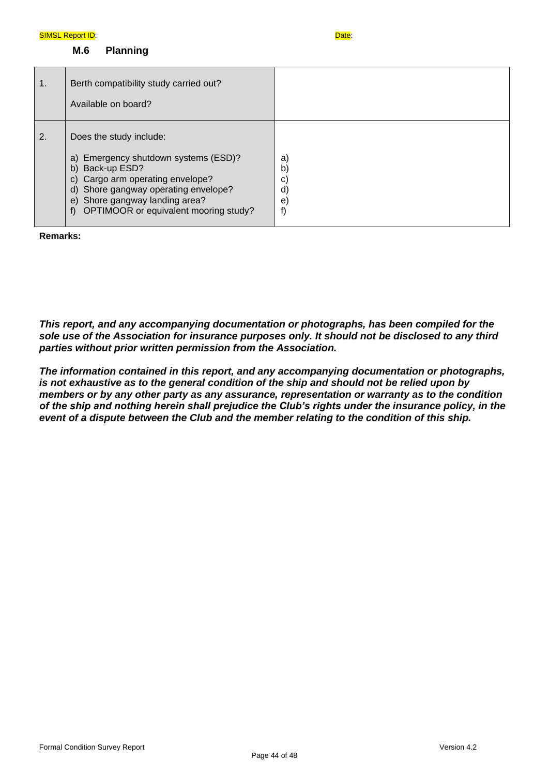**M.6 Planning**

| $\mathbf{1}$ . | Berth compatibility study carried out?<br>Available on board?                                                                                                                                                                             |                                                                       |
|----------------|-------------------------------------------------------------------------------------------------------------------------------------------------------------------------------------------------------------------------------------------|-----------------------------------------------------------------------|
| 2.             | Does the study include:<br>a) Emergency shutdown systems (ESD)?<br>b) Back-up ESD?<br>c) Cargo arm operating envelope?<br>d) Shore gangway operating envelope?<br>e) Shore gangway landing area?<br>OPTIMOOR or equivalent mooring study? | a)<br>b<br>$\mathbf{C}$<br>$\mathsf{d}$<br>$\left( \mathbf{e}\right)$ |

**Remarks:**

*This report, and any accompanying documentation or photographs, has been compiled for the sole use of the Association for insurance purposes only. It should not be disclosed to any third parties without prior written permission from the Association.* 

*The information contained in this report, and any accompanying documentation or photographs, is not exhaustive as to the general condition of the ship and should not be relied upon by members or by any other party as any assurance, representation or warranty as to the condition of the ship and nothing herein shall prejudice the Club's rights under the insurance policy, in the event of a dispute between the Club and the member relating to the condition of this ship.*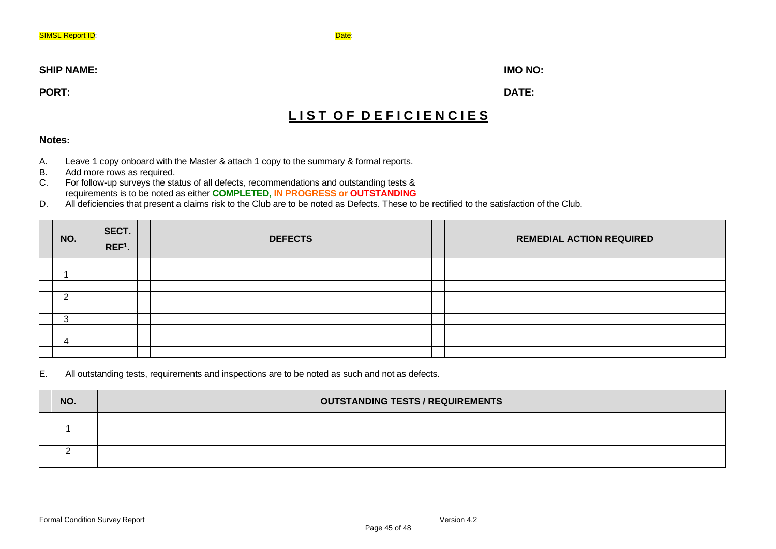#### **SHIP NAME: IMO NO:**

**PORT: DATE:**

## LIST OF DEFICIENCIES

## **Notes:**

- A. Leave 1 copy onboard with the Master & attach 1 copy to the summary & formal reports.<br>B. Add more rows as required.
- Add more rows as required.
- C. For follow-up surveys the status of all defects, recommendations and outstanding tests & requirements is to be noted as either **COMPLETED, IN PROGRESS or OUTSTANDING**
- D. All deficiencies that present a claims risk to the Club are to be noted as Defects. These to be rectified to the satisfaction of the Club.

| NO. | SECT.<br>$REF1$ . | <b>DEFECTS</b> | <b>REMEDIAL ACTION REQUIRED</b> |
|-----|-------------------|----------------|---------------------------------|
|     |                   |                |                                 |
|     |                   |                |                                 |
|     |                   |                |                                 |
| ົ   |                   |                |                                 |
|     |                   |                |                                 |
| 3   |                   |                |                                 |
|     |                   |                |                                 |
| 4   |                   |                |                                 |
|     |                   |                |                                 |

### E. All outstanding tests, requirements and inspections are to be noted as such and not as defects.

| NO. |  | <b>OUTSTANDING TESTS / REQUIREMENTS</b> |
|-----|--|-----------------------------------------|
|     |  |                                         |
|     |  |                                         |
|     |  |                                         |
|     |  |                                         |
|     |  |                                         |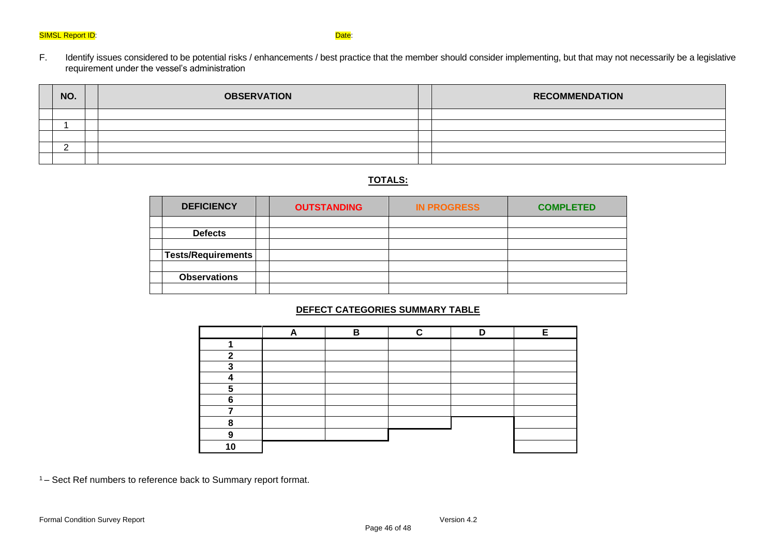F. Identify issues considered to be potential risks / enhancements / best practice that the member should consider implementing, but that may not necessarily be a legislative requirement under the vessel's administration

| NO. | <b>OBSERVATION</b> | <b>RECOMMENDATION</b> |
|-----|--------------------|-----------------------|
|     |                    |                       |
|     |                    |                       |
|     |                    |                       |
|     |                    |                       |
|     |                    |                       |

## **TOTALS:**

| <b>DEFICIENCY</b>         | <b>OUTSTANDING</b> | <b>IN PROGRESS</b> | <b>COMPLETED</b> |
|---------------------------|--------------------|--------------------|------------------|
|                           |                    |                    |                  |
| <b>Defects</b>            |                    |                    |                  |
|                           |                    |                    |                  |
| <b>Tests/Requirements</b> |                    |                    |                  |
|                           |                    |                    |                  |
| <b>Observations</b>       |                    |                    |                  |
|                           |                    |                    |                  |

### **DEFECT CATEGORIES SUMMARY TABLE**

|   | R | - |  |
|---|---|---|--|
|   |   |   |  |
| œ |   |   |  |
| e |   |   |  |
|   |   |   |  |
|   |   |   |  |
| ◠ |   |   |  |
|   |   |   |  |
|   |   |   |  |
|   |   |   |  |
|   |   |   |  |

<sup>1</sup>– Sect Ref numbers to reference back to Summary report format.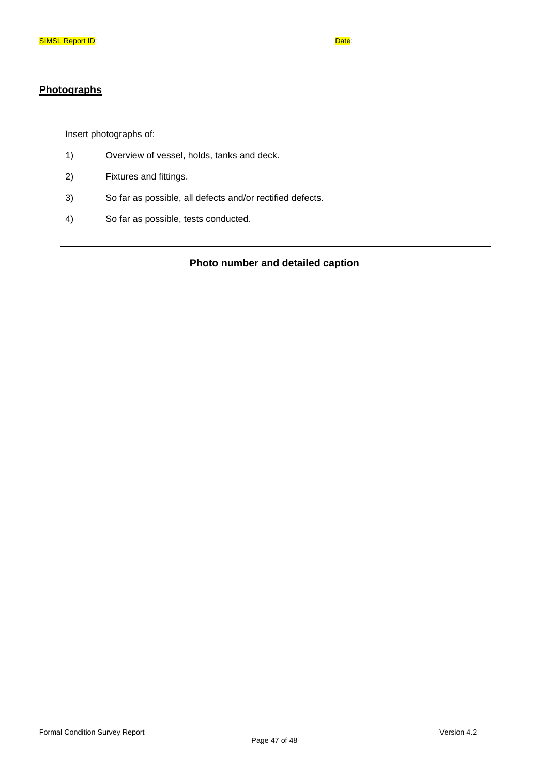## **Photographs**

Insert photographs of:

- 1) Overview of vessel, holds, tanks and deck.
- 2) Fixtures and fittings.
- 3) So far as possible, all defects and/or rectified defects.
- 4) So far as possible, tests conducted.

## **Photo number and detailed caption**